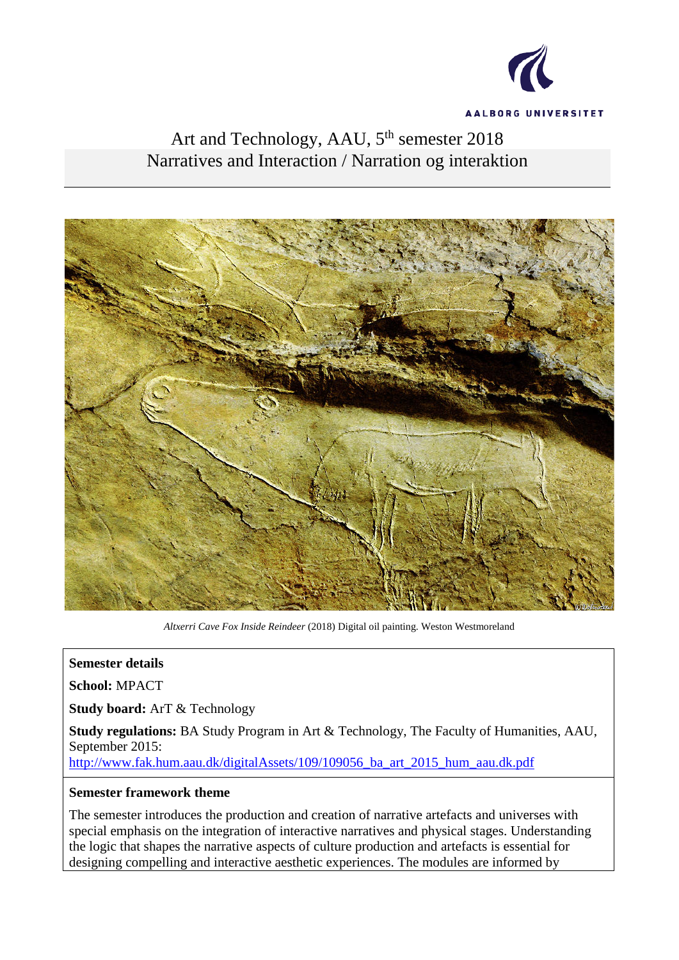

# Art and Technology, AAU, 5<sup>th</sup> semester 2018 Narratives and Interaction / Narration og interaktion



*Altxerri Cave Fox Inside Reindeer* (2018) Digital oil painting. Weston Westmoreland

#### **Semester details**

**School:** MPACT

**Study board:** ArT & Technology

**Study regulations:** BA Study Program in Art & Technology, The Faculty of Humanities, AAU, September 2015:

[http://www.fak.hum.aau.dk/digitalAssets/109/109056\\_ba\\_art\\_2015\\_hum\\_aau.dk.pdf](http://www.fak.hum.aau.dk/digitalAssets/109/109056_ba_art_2015_hum_aau.dk.pdf)

#### **Semester framework theme**

The semester introduces the production and creation of narrative artefacts and universes with special emphasis on the integration of interactive narratives and physical stages. Understanding the logic that shapes the narrative aspects of culture production and artefacts is essential for designing compelling and interactive aesthetic experiences. The modules are informed by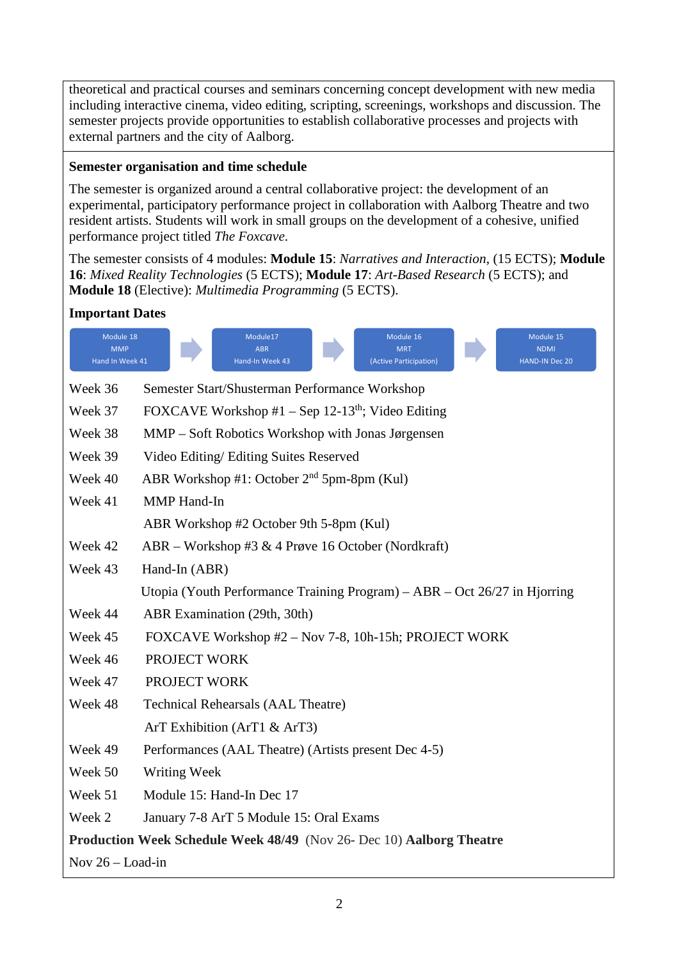theoretical and practical courses and seminars concerning concept development with new media including interactive cinema, video editing, scripting, screenings, workshops and discussion. The semester projects provide opportunities to establish collaborative processes and projects with external partners and the city of Aalborg.

## **Semester organisation and time schedule**

The semester is organized around a central collaborative project: the development of an experimental, participatory performance project in collaboration with Aalborg Theatre and two resident artists. Students will work in small groups on the development of a cohesive, unified performance project titled *The Foxcave*.

The semester consists of 4 modules: **Module 15**: *Narratives and Interaction*, (15 ECTS); **Module 16**: *Mixed Reality Technologies* (5 ECTS); **Module 17**: *Art-Based Research* (5 ECTS); and **Module 18** (Elective): *Multimedia Programming* (5 ECTS).

## **Important Dates**

| Module 18<br><b>MMP</b><br>Hand In Week 41 | Module17<br>Module 16<br>Module 15<br><b>ABR</b><br><b>MRT</b><br><b>NDMI</b><br>Hand-In Week 43<br>(Active Participation)<br><b>HAND-IN Dec 20</b> |
|--------------------------------------------|-----------------------------------------------------------------------------------------------------------------------------------------------------|
| Week 36                                    | Semester Start/Shusterman Performance Workshop                                                                                                      |
| Week 37                                    | FOXCAVE Workshop #1 – Sep 12-13 <sup>th</sup> ; Video Editing                                                                                       |
| Week 38                                    | MMP – Soft Robotics Workshop with Jonas Jørgensen                                                                                                   |
| Week 39                                    | Video Editing/ Editing Suites Reserved                                                                                                              |
| Week 40                                    | ABR Workshop #1: October $2nd$ 5pm-8pm (Kul)                                                                                                        |
| Week 41                                    | <b>MMP</b> Hand-In                                                                                                                                  |
|                                            | ABR Workshop #2 October 9th 5-8pm (Kul)                                                                                                             |
| Week 42                                    | ABR – Workshop #3 & 4 Prøve 16 October (Nordkraft)                                                                                                  |
| Week 43                                    | Hand-In (ABR)                                                                                                                                       |
|                                            | Utopia (Youth Performance Training Program) – ABR – Oct $26/27$ in Hjorring                                                                         |
| Week 44                                    | ABR Examination (29th, 30th)                                                                                                                        |
| Week 45                                    | FOXCAVE Workshop #2 – Nov 7-8, 10h-15h; PROJECT WORK                                                                                                |
| Week 46                                    | PROJECT WORK                                                                                                                                        |
| Week 47                                    | PROJECT WORK                                                                                                                                        |
| Week 48                                    | <b>Technical Rehearsals (AAL Theatre)</b>                                                                                                           |
|                                            | ArT Exhibition (ArT1 $&$ ArT3)                                                                                                                      |
| Week 49                                    | Performances (AAL Theatre) (Artists present Dec 4-5)                                                                                                |
| Week 50                                    | Writing Week                                                                                                                                        |
| Week 51                                    | Module 15: Hand-In Dec 17                                                                                                                           |
| Week 2                                     | January 7-8 ArT 5 Module 15: Oral Exams                                                                                                             |
|                                            | Production Week Schedule Week 48/49 (Nov 26- Dec 10) Aalborg Theatre                                                                                |
| Nov $26 -$ Load-in                         |                                                                                                                                                     |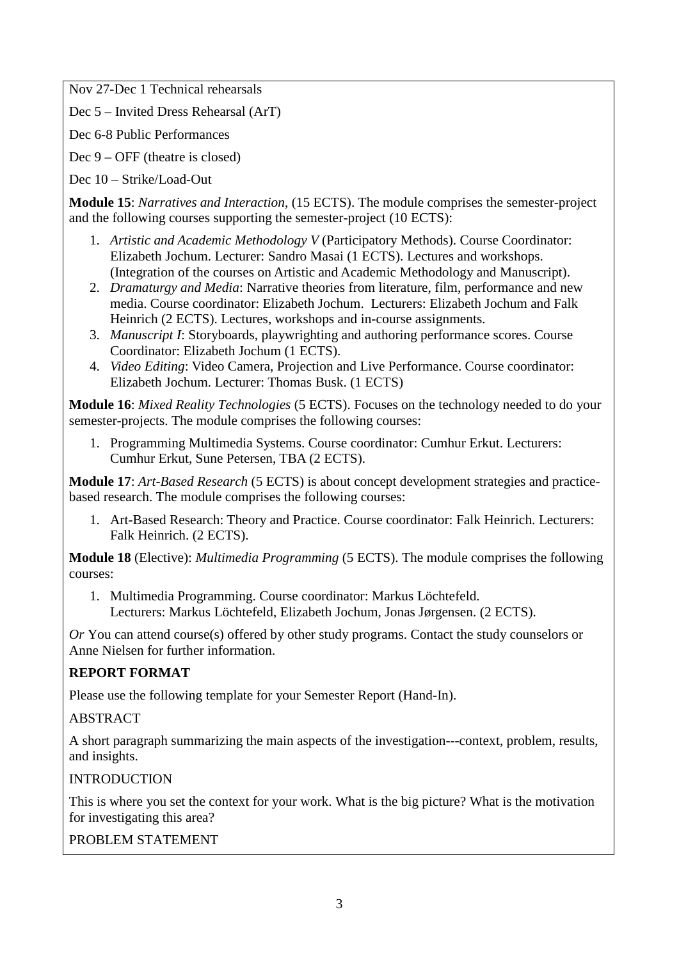Nov 27-Dec 1 Technical rehearsals

Dec 5 – Invited Dress Rehearsal (ArT)

Dec 6-8 Public Performances

Dec 9 – OFF (theatre is closed)

Dec 10 – Strike/Load-Out

**Module 15**: *Narratives and Interaction*, (15 ECTS). The module comprises the semester-project and the following courses supporting the semester-project (10 ECTS):

- 1. *Artistic and Academic Methodology V* (Participatory Methods). Course Coordinator: Elizabeth Jochum. Lecturer: Sandro Masai (1 ECTS). Lectures and workshops. (Integration of the courses on Artistic and Academic Methodology and Manuscript).
- 2. *Dramaturgy and Media*: Narrative theories from literature, film, performance and new media. Course coordinator: Elizabeth Jochum. Lecturers: Elizabeth Jochum and Falk Heinrich (2 ECTS). Lectures, workshops and in-course assignments.
- 3. *Manuscript I*: Storyboards, playwrighting and authoring performance scores. Course Coordinator: Elizabeth Jochum (1 ECTS).
- 4. *Video Editing*: Video Camera, Projection and Live Performance. Course coordinator: Elizabeth Jochum. Lecturer: Thomas Busk. (1 ECTS)

**Module 16**: *Mixed Reality Technologies* (5 ECTS). Focuses on the technology needed to do your semester-projects. The module comprises the following courses:

1. Programming Multimedia Systems. Course coordinator: Cumhur Erkut. Lecturers: Cumhur Erkut, Sune Petersen, TBA (2 ECTS).

**Module 17**: *Art-Based Research* (5 ECTS) is about concept development strategies and practicebased research. The module comprises the following courses:

1. Art-Based Research: Theory and Practice. Course coordinator: Falk Heinrich. Lecturers: Falk Heinrich. (2 ECTS).

**Module 18** (Elective): *Multimedia Programming* (5 ECTS). The module comprises the following courses:

1. Multimedia Programming. Course coordinator: Markus Löchtefeld. Lecturers: Markus Löchtefeld, Elizabeth Jochum, Jonas Jørgensen. (2 ECTS).

*Or* You can attend course(s) offered by other study programs. Contact the study counselors or Anne Nielsen for further information.

## **REPORT FORMAT**

Please use the following template for your Semester Report (Hand-In).

#### ABSTRACT

A short paragraph summarizing the main aspects of the investigation---context, problem, results, and insights.

#### INTRODUCTION

This is where you set the context for your work. What is the big picture? What is the motivation for investigating this area?

## PROBLEM STATEMENT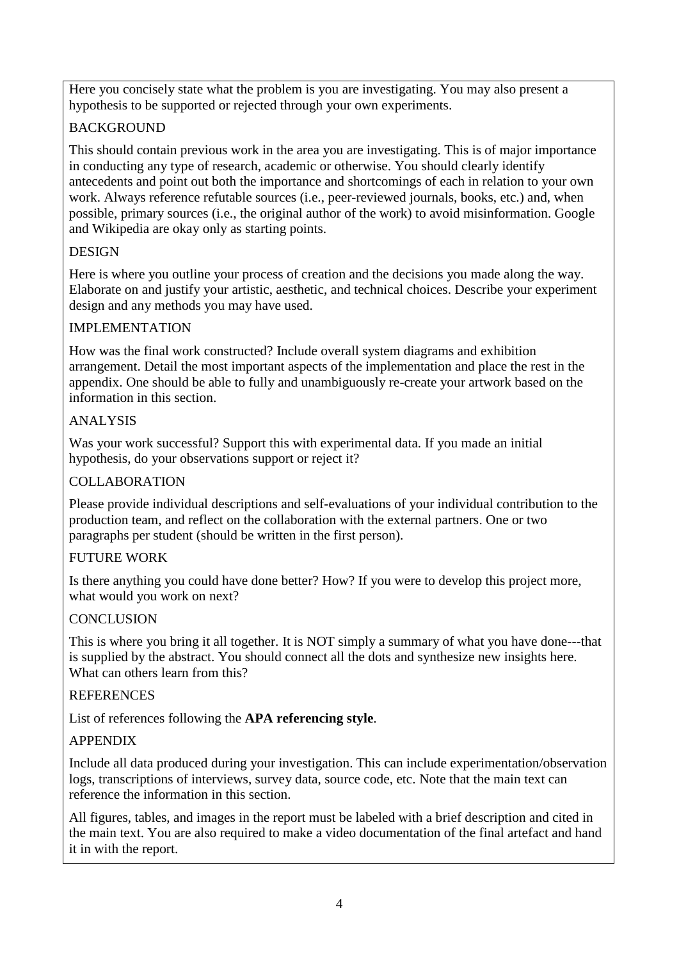Here you concisely state what the problem is you are investigating. You may also present a hypothesis to be supported or rejected through your own experiments.

## BACKGROUND

This should contain previous work in the area you are investigating. This is of major importance in conducting any type of research, academic or otherwise. You should clearly identify antecedents and point out both the importance and shortcomings of each in relation to your own work. Always reference refutable sources (i.e., peer-reviewed journals, books, etc.) and, when possible, primary sources (i.e., the original author of the work) to avoid misinformation. Google and Wikipedia are okay only as starting points.

## **DESIGN**

Here is where you outline your process of creation and the decisions you made along the way. Elaborate on and justify your artistic, aesthetic, and technical choices. Describe your experiment design and any methods you may have used.

## IMPLEMENTATION

How was the final work constructed? Include overall system diagrams and exhibition arrangement. Detail the most important aspects of the implementation and place the rest in the appendix. One should be able to fully and unambiguously re-create your artwork based on the information in this section.

## ANALYSIS

Was your work successful? Support this with experimental data. If you made an initial hypothesis, do your observations support or reject it?

## COLLABORATION

Please provide individual descriptions and self-evaluations of your individual contribution to the production team, and reflect on the collaboration with the external partners. One or two paragraphs per student (should be written in the first person).

## FUTURE WORK

Is there anything you could have done better? How? If you were to develop this project more, what would you work on next?

## **CONCLUSION**

This is where you bring it all together. It is NOT simply a summary of what you have done---that is supplied by the abstract. You should connect all the dots and synthesize new insights here. What can others learn from this?

## **REFERENCES**

List of references following the **APA referencing style**.

## APPENDIX

Include all data produced during your investigation. This can include experimentation/observation logs, transcriptions of interviews, survey data, source code, etc. Note that the main text can reference the information in this section.

All figures, tables, and images in the report must be labeled with a brief description and cited in the main text. You are also required to make a video documentation of the final artefact and hand it in with the report.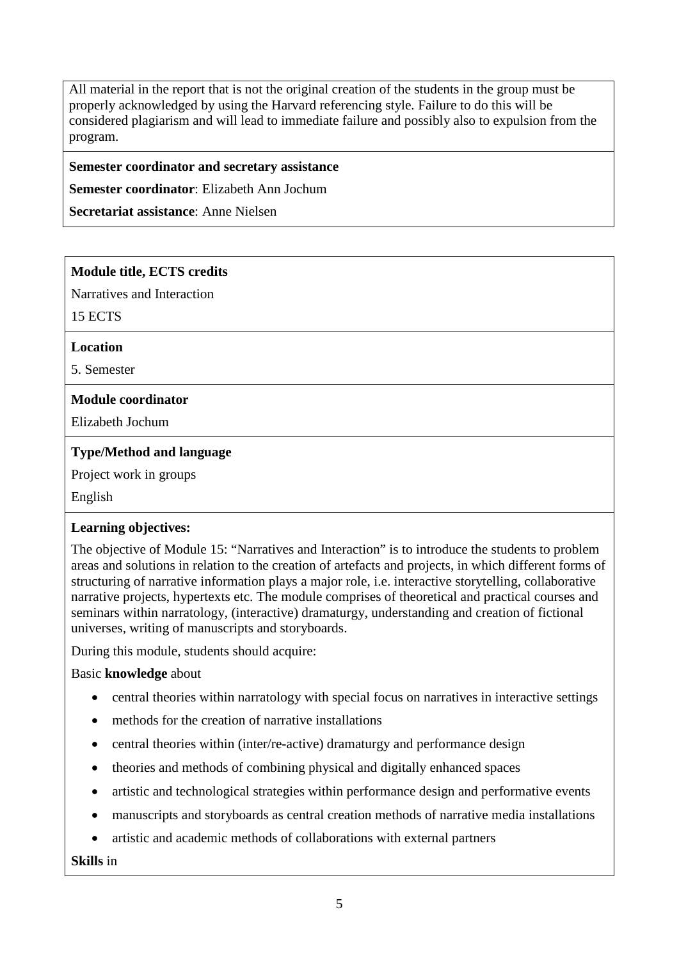All material in the report that is not the original creation of the students in the group must be properly acknowledged by using the Harvard referencing style. Failure to do this will be considered plagiarism and will lead to immediate failure and possibly also to expulsion from the program.

#### **Semester coordinator and secretary assistance**

**Semester coordinator**: Elizabeth Ann Jochum

**Secretariat assistance**: Anne Nielsen

#### **Module title, ECTS credits**

Narratives and Interaction

15 ECTS

**Location**

5. Semester

#### **Module coordinator**

Elizabeth Jochum

#### **Type/Method and language**

Project work in groups

English

#### **Learning objectives:**

The objective of Module 15: "Narratives and Interaction" is to introduce the students to problem areas and solutions in relation to the creation of artefacts and projects, in which different forms of structuring of narrative information plays a major role, i.e. interactive storytelling, collaborative narrative projects, hypertexts etc. The module comprises of theoretical and practical courses and seminars within narratology, (interactive) dramaturgy, understanding and creation of fictional universes, writing of manuscripts and storyboards.

During this module, students should acquire:

#### Basic **knowledge** about

- central theories within narratology with special focus on narratives in interactive settings
- methods for the creation of narrative installations
- central theories within (inter/re-active) dramaturgy and performance design
- theories and methods of combining physical and digitally enhanced spaces
- artistic and technological strategies within performance design and performative events
- manuscripts and storyboards as central creation methods of narrative media installations
- artistic and academic methods of collaborations with external partners

**Skills** in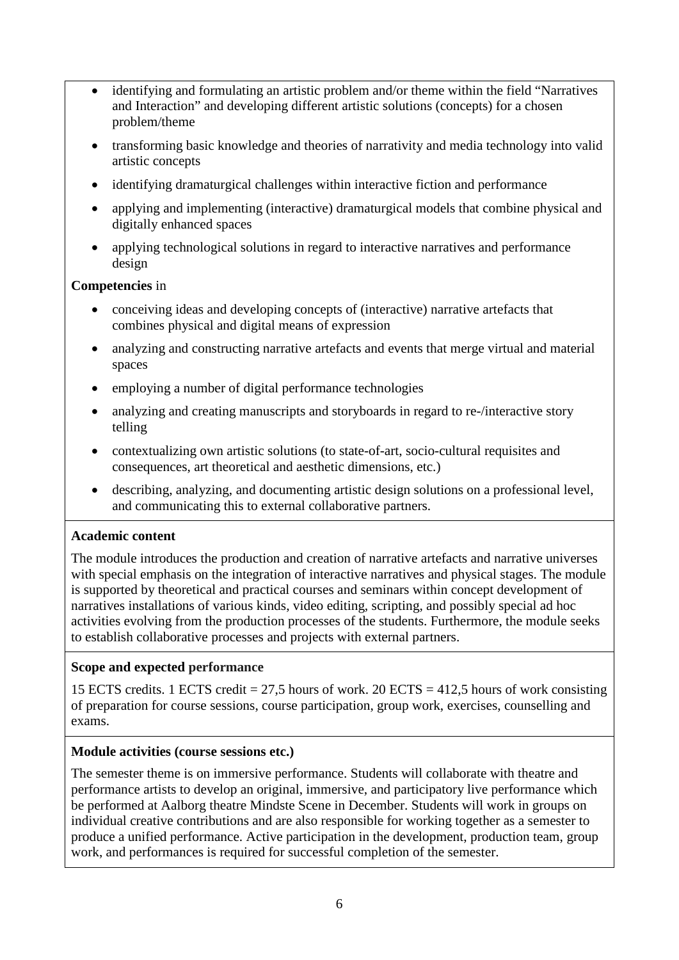- identifying and formulating an artistic problem and/or theme within the field "Narratives and Interaction" and developing different artistic solutions (concepts) for a chosen problem/theme
- transforming basic knowledge and theories of narrativity and media technology into valid artistic concepts
- identifying dramaturgical challenges within interactive fiction and performance
- applying and implementing (interactive) dramaturgical models that combine physical and digitally enhanced spaces
- applying technological solutions in regard to interactive narratives and performance design

## **Competencies** in

- conceiving ideas and developing concepts of (interactive) narrative artefacts that combines physical and digital means of expression
- analyzing and constructing narrative artefacts and events that merge virtual and material spaces
- employing a number of digital performance technologies
- analyzing and creating manuscripts and storyboards in regard to re-/interactive story telling
- contextualizing own artistic solutions (to state-of-art, socio-cultural requisites and consequences, art theoretical and aesthetic dimensions, etc.)
- describing, analyzing, and documenting artistic design solutions on a professional level, and communicating this to external collaborative partners.

#### **Academic content**

The module introduces the production and creation of narrative artefacts and narrative universes with special emphasis on the integration of interactive narratives and physical stages. The module is supported by theoretical and practical courses and seminars within concept development of narratives installations of various kinds, video editing, scripting, and possibly special ad hoc activities evolving from the production processes of the students. Furthermore, the module seeks to establish collaborative processes and projects with external partners.

#### **Scope and expected performance**

15 ECTS credits. 1 ECTS credit = 27,5 hours of work. 20 ECTS = 412,5 hours of work consisting of preparation for course sessions, course participation, group work, exercises, counselling and exams.

#### **Module activities (course sessions etc.)**

The semester theme is on immersive performance. Students will collaborate with theatre and performance artists to develop an original, immersive, and participatory live performance which be performed at Aalborg theatre Mindste Scene in December. Students will work in groups on individual creative contributions and are also responsible for working together as a semester to produce a unified performance. Active participation in the development, production team, group work, and performances is required for successful completion of the semester.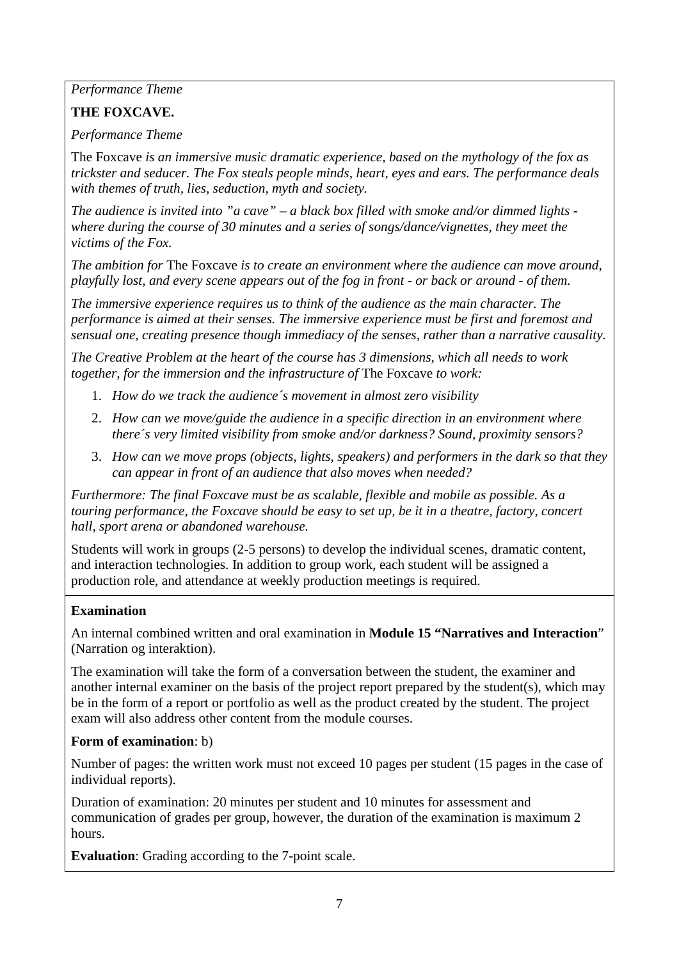*Performance Theme*

## **THE FOXCAVE.**

*Performance Theme*

The Foxcave *is an immersive music dramatic experience, based on the mythology of the fox as trickster and seducer. The Fox steals people minds, heart, eyes and ears. The performance deals with themes of truth, lies, seduction, myth and society.*

*The audience is invited into "a cave" – a black box filled with smoke and/or dimmed lights where during the course of 30 minutes and a series of songs/dance/vignettes, they meet the victims of the Fox.*

*The ambition for* The Foxcave *is to create an environment where the audience can move around, playfully lost, and every scene appears out of the fog in front - or back or around - of them.*

*The immersive experience requires us to think of the audience as the main character. The performance is aimed at their senses. The immersive experience must be first and foremost and sensual one, creating presence though immediacy of the senses, rather than a narrative causality.*

*The Creative Problem at the heart of the course has 3 dimensions, which all needs to work together, for the immersion and the infrastructure of* The Foxcave *to work:*

- 1. *How do we track the audience´s movement in almost zero visibility*
- 2. *How can we move/guide the audience in a specific direction in an environment where there´s very limited visibility from smoke and/or darkness? Sound, proximity sensors?*
- 3. *How can we move props (objects, lights, speakers) and performers in the dark so that they can appear in front of an audience that also moves when needed?*

*Furthermore: The final Foxcave must be as scalable, flexible and mobile as possible. As a touring performance, the Foxcave should be easy to set up, be it in a theatre, factory, concert hall, sport arena or abandoned warehouse.*

Students will work in groups (2-5 persons) to develop the individual scenes, dramatic content, and interaction technologies. In addition to group work, each student will be assigned a production role, and attendance at weekly production meetings is required.

## **Examination**

An internal combined written and oral examination in **Module 15 "Narratives and Interaction**" (Narration og interaktion).

The examination will take the form of a conversation between the student, the examiner and another internal examiner on the basis of the project report prepared by the student(s), which may be in the form of a report or portfolio as well as the product created by the student. The project exam will also address other content from the module courses.

## **Form of examination**: b)

Number of pages: the written work must not exceed 10 pages per student (15 pages in the case of individual reports).

Duration of examination: 20 minutes per student and 10 minutes for assessment and communication of grades per group, however, the duration of the examination is maximum 2 hours.

**Evaluation**: Grading according to the 7-point scale.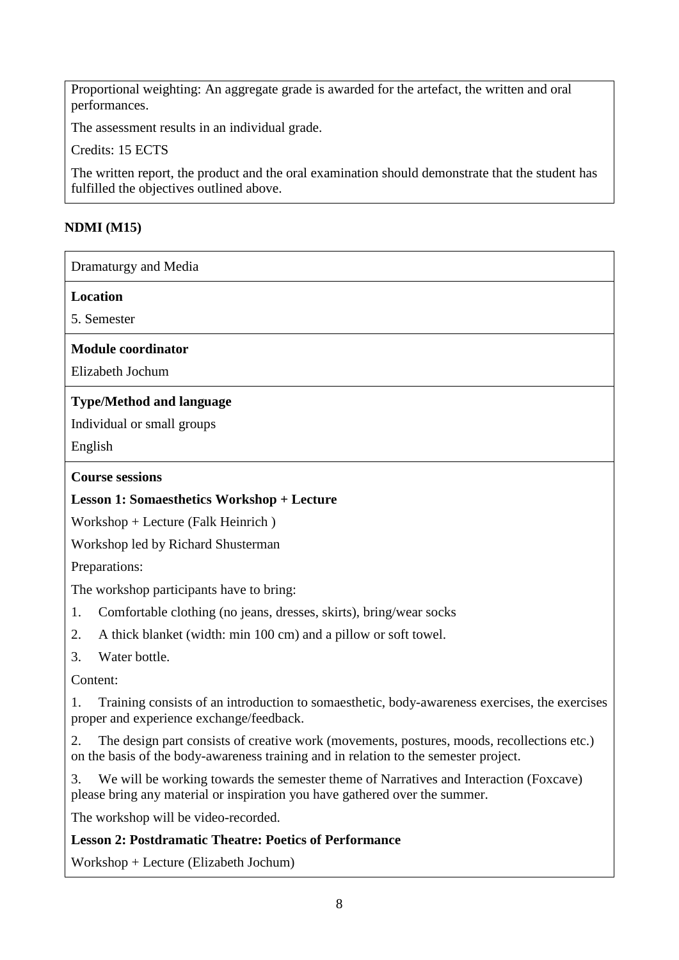Proportional weighting: An aggregate grade is awarded for the artefact, the written and oral performances.

The assessment results in an individual grade.

Credits: 15 ECTS

The written report, the product and the oral examination should demonstrate that the student has fulfilled the objectives outlined above.

## **NDMI (M15)**

Dramaturgy and Media

**Location**

5. Semester

**Module coordinator**

Elizabeth Jochum

## **Type/Method and language**

Individual or small groups

English

#### **Course sessions**

## **Lesson 1: Somaesthetics Workshop + Lecture**

Workshop + Lecture (Falk Heinrich )

Workshop led by Richard Shusterman

Preparations:

The workshop participants have to bring:

- 1. Comfortable clothing (no jeans, dresses, skirts), bring/wear socks
- 2. A thick blanket (width: min 100 cm) and a pillow or soft towel.
- 3. Water bottle.

Content:

1. Training consists of an introduction to somaesthetic, body-awareness exercises, the exercises proper and experience exchange/feedback.

2. The design part consists of creative work (movements, postures, moods, recollections etc.) on the basis of the body-awareness training and in relation to the semester project.

3. We will be working towards the semester theme of Narratives and Interaction (Foxcave) please bring any material or inspiration you have gathered over the summer.

The workshop will be video-recorded.

## **Lesson 2: Postdramatic Theatre: Poetics of Performance**

Workshop + Lecture (Elizabeth Jochum)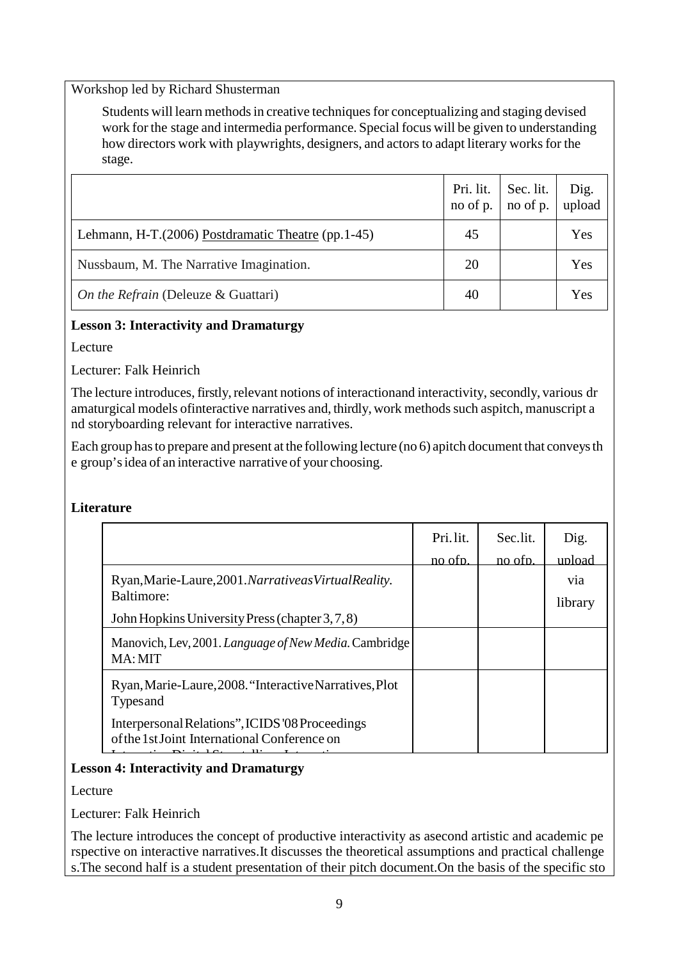Workshop led by Richard Shusterman

Students will learn methods in creative techniques for conceptualizing and staging devised work for the stage and intermedia performance. Special focus will be given to understanding how directors work with playwrights, designers, and actors to adapt literary works for the stage.

|                                                     | Pri. lit.<br>no of p. | Sec. lit.<br>no of p. | Dig.<br>upload |
|-----------------------------------------------------|-----------------------|-----------------------|----------------|
| Lehmann, H-T. (2006) Postdramatic Theatre (pp.1-45) | 45                    |                       | Yes            |
| Nussbaum, M. The Narrative Imagination.             | 20                    |                       | Yes            |
| On the Refrain (Deleuze & Guattari)                 | 40                    |                       | Yes            |

#### **Lesson 3: Interactivity and Dramaturgy**

Lecture

Lecturer: Falk Heinrich

The lecture introduces, firstly, relevant notions of interactionand interactivity, secondly, various dr amaturgical models of interactive narratives and, thirdly, work methods such aspitch, manuscript a nd storyboarding relevant for interactive narratives.

Each group hasto prepare and present at the following lecture (no 6) apitch document that conveysth e group'sidea of an interactive narrative of your choosing.

#### **Literature**

|                                                                                                                         | Pri.lit.<br>no ofn. | Sec.lit.<br>no ofn. | Dig.<br>upload |
|-------------------------------------------------------------------------------------------------------------------------|---------------------|---------------------|----------------|
| Ryan, Marie-Laure, 2001. Narrative as Virtual Reality.<br>Baltimore:<br>John Hopkins University Press (chapter 3, 7, 8) |                     |                     | via<br>library |
| Manovich, Lev, 2001. Language of New Media. Cambridge<br>MA: MIT                                                        |                     |                     |                |
| Ryan, Marie-Laure, 2008. "Interactive Narratives, Plot<br>Types and                                                     |                     |                     |                |
| Interpersonal Relations", ICIDS '08 Proceedings<br>of the 1st Joint International Conference on                         |                     |                     |                |

#### **Lesson 4: Interactivity and Dramaturgy**

Lecture

Lecturer: Falk Heinrich

The lecture introduces the concept of productive interactivity as asecond artistic and academic pe rspective on interactive narratives.It discusses the theoretical assumptions and practical challenge s.The second half is a student presentation of their pitch document.On the basis of the specific sto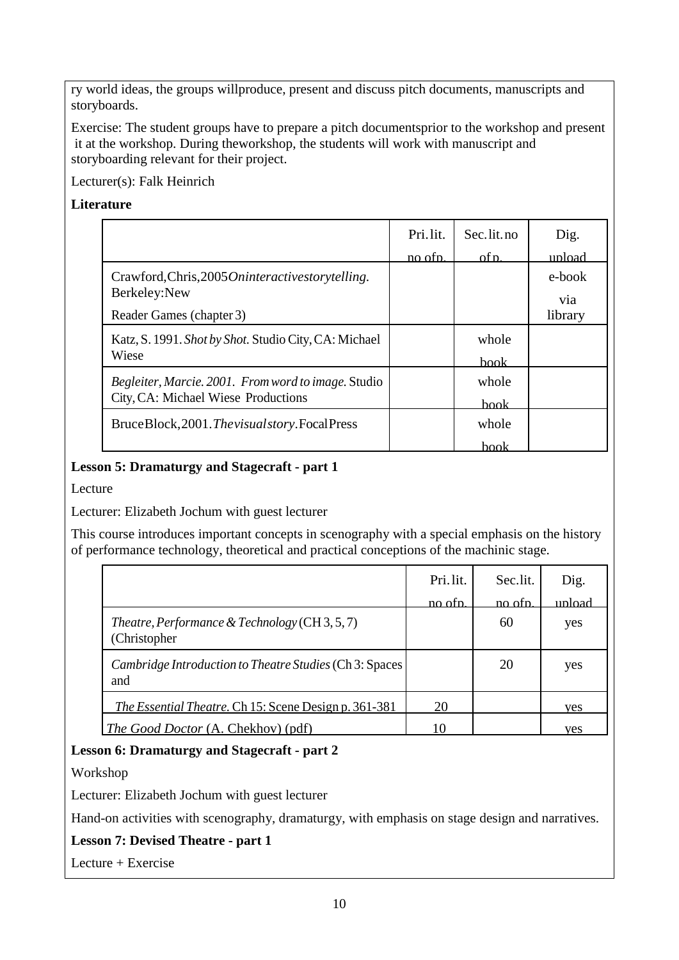ry world ideas, the groups willproduce, present and discuss pitch documents, manuscripts and storyboards.

Exercise: The student groups have to prepare a pitch documentsprior to the workshop and present it at the workshop. During theworkshop, the students will work with manuscript and storyboarding relevant for their project.

Lecturer(s): Falk Heinrich

## **Literature**

|                                                                     | Pri.lit.<br>no ofn. | Sec.lit.no<br>of p. | Dig.<br>unload |
|---------------------------------------------------------------------|---------------------|---------------------|----------------|
| Crawford, Chris, 2005 On interactive story telling.<br>Berkeley:New |                     |                     | e-book<br>via  |
| Reader Games (chapter 3)                                            |                     |                     | library        |
| Katz, S. 1991. Shot by Shot. Studio City, CA: Michael<br>Wiese      |                     | whole               |                |
|                                                                     |                     | <b>book</b>         |                |
| Begleiter, Marcie. 2001. From word to image. Studio                 |                     | whole               |                |
| City, CA: Michael Wiese Productions                                 |                     | book                |                |
| BruceBlock, 2001. The visual story. Focal Press                     |                     | whole               |                |
|                                                                     |                     | hook                |                |

## **Lesson 5: Dramaturgy and Stagecraft - part 1**

Lecture

Lecturer: Elizabeth Jochum with guest lecturer

This course introduces important concepts in scenography with a special emphasis on the history of performance technology, theoretical and practical conceptions of the machinic stage.

|                                                                | Pri.lit. | Sec.lit. | Dig.   |
|----------------------------------------------------------------|----------|----------|--------|
|                                                                | no ofn.  | no ofn.  | upload |
| Theatre, Performance & Technology (CH 3, 5, 7)<br>(Christopher |          | 60       | yes    |
| Cambridge Introduction to Theatre Studies (Ch 3: Spaces<br>and |          | 20       | yes    |
| <i>The Essential Theatre.</i> Ch 15: Scene Design p. 361-381   | 20       |          | yes    |
| <i>The Good Doctor</i> (A. Chekhov) (pdf)                      | 10       |          | ves    |

## **Lesson 6: Dramaturgy and Stagecraft - part 2**

Workshop

Lecturer: Elizabeth Jochum with guest lecturer

Hand-on activities with scenography, dramaturgy, with emphasis on stage design and narratives.

## **Lesson 7: Devised Theatre - part 1**

Lecture + Exercise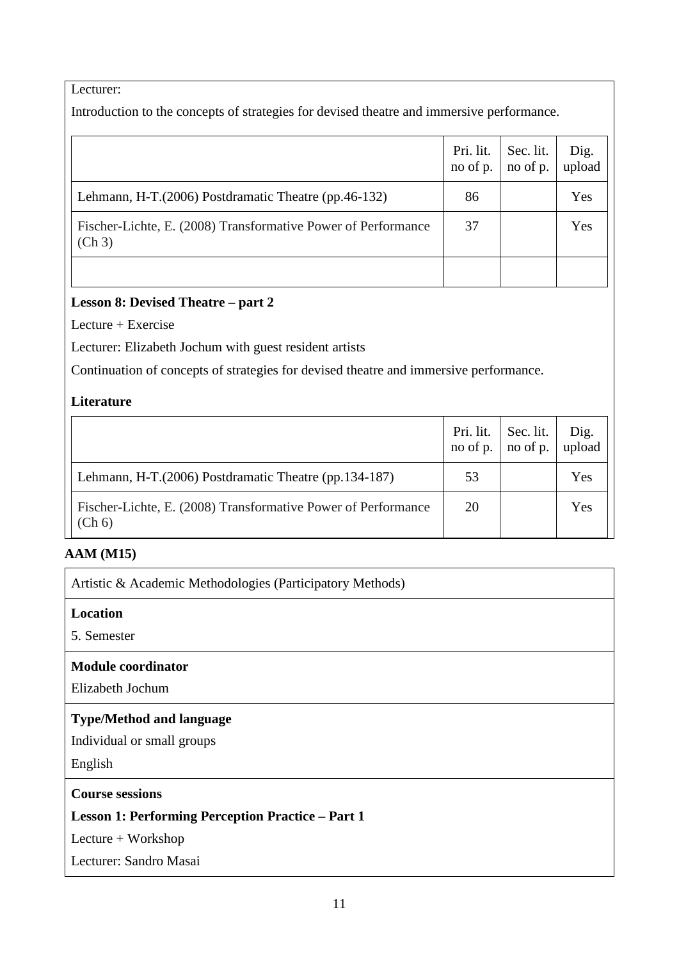## Lecturer:

Introduction to the concepts of strategies for devised theatre and immersive performance.

|                                                                         | Pri. lit.<br>no of $p$ . no of $p$ . | Sec. lit. | Dig.<br>upload |
|-------------------------------------------------------------------------|--------------------------------------|-----------|----------------|
| Lehmann, H-T. (2006) Postdramatic Theatre (pp.46-132)                   | 86                                   |           | Yes            |
| Fischer-Lichte, E. (2008) Transformative Power of Performance<br>(Ch 3) | 37                                   |           | Yes            |
|                                                                         |                                      |           |                |

## **Lesson 8: Devised Theatre – part 2**

Lecture + Exercise

Lecturer: Elizabeth Jochum with guest resident artists

Continuation of concepts of strategies for devised theatre and immersive performance.

## **Literature**

|                                                                         | Pri. lit. $\vert$<br>no of p. | Sec. lit.<br>$\ln 0$ of p. | Dig.<br>upload |
|-------------------------------------------------------------------------|-------------------------------|----------------------------|----------------|
| Lehmann, H-T.(2006) Postdramatic Theatre (pp.134-187)                   | 53                            |                            | Yes            |
| Fischer-Lichte, E. (2008) Transformative Power of Performance<br>(Ch 6) | 20                            |                            | Yes            |

## **AAM (M15)**

Artistic & Academic Methodologies (Participatory Methods)

## **Location**

5. Semester

#### **Module coordinator**

Elizabeth Jochum

## **Type/Method and language**

Individual or small groups

English

## **Course sessions**

## **Lesson 1: Performing Perception Practice – Part 1**

Lecture + Workshop

Lecturer: Sandro Masai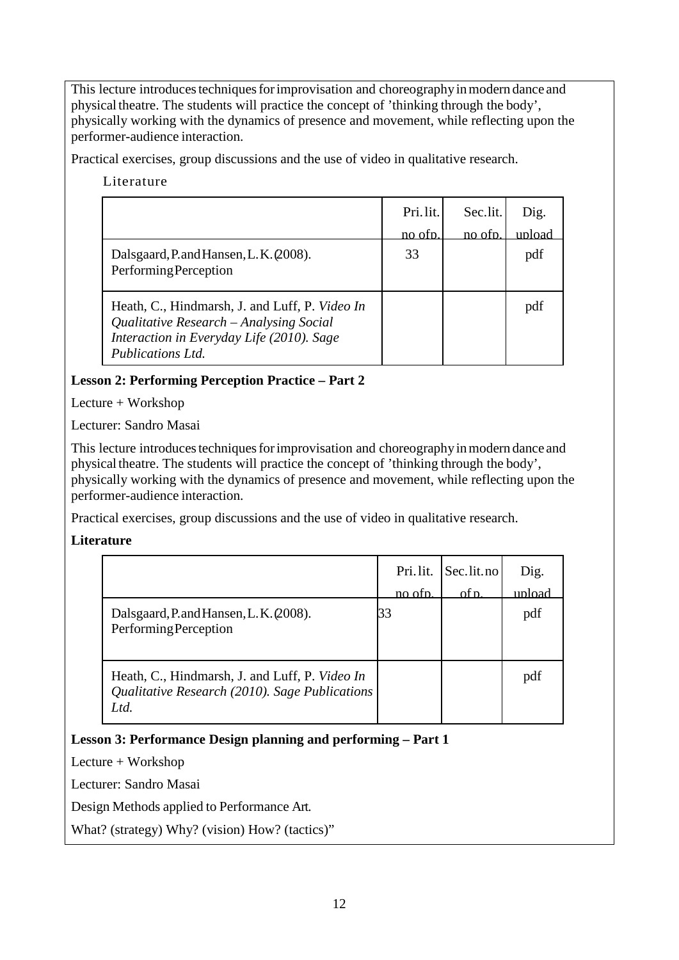This lecture introduces techniques for improvisation and choreography in modern dance and physical theatre. The students will practice the concept of 'thinking through the body', physically working with the dynamics of presence and movement, while reflecting upon the performer-audience interaction.

Practical exercises, group discussions and the use of video in qualitative research.

Literature

|                                                                                                                                        | Pri.lit.       | Sec.lit. | Dig.   |
|----------------------------------------------------------------------------------------------------------------------------------------|----------------|----------|--------|
|                                                                                                                                        | <u>no ofn.</u> | no ofn.  | upload |
| Dalsgaard, P. and Hansen, L. K. (2008).                                                                                                | 33             |          | pdf    |
| Performing Perception                                                                                                                  |                |          |        |
| Heath, C., Hindmarsh, J. and Luff, P. Video In<br>Qualitative Research – Analysing Social<br>Interaction in Everyday Life (2010). Sage |                |          | pdf    |
| <b>Publications Ltd.</b>                                                                                                               |                |          |        |

## **Lesson 2: Performing Perception Practice – Part 2**

Lecture + Workshop

Lecturer: Sandro Masai

This lecture introduces techniques for improvisation and choreography in modern dance and physical theatre. The students will practice the concept of 'thinking through the body', physically working with the dynamics of presence and movement, while reflecting upon the performer-audience interaction.

Practical exercises, group discussions and the use of video in qualitative research.

## **Literature**

|                                                                                                          | Pri.lit.<br>no ofp. | Sec.lit.no<br>of n. | Dig.<br>upload |
|----------------------------------------------------------------------------------------------------------|---------------------|---------------------|----------------|
| Dalsgaard, P. and Hansen, L. K. (2008).<br><b>Performing Perception</b>                                  | 33                  |                     | pdf            |
| Heath, C., Hindmarsh, J. and Luff, P. Video In<br>Qualitative Research (2010). Sage Publications<br>Ltd. |                     |                     | pdf            |

**Lesson 3: Performance Design planning and performing – Part 1**

Lecture + Workshop

Lecturer: Sandro Masai

Design Methods applied to Performance Art.

What? (strategy) Why? (vision) How? (tactics)"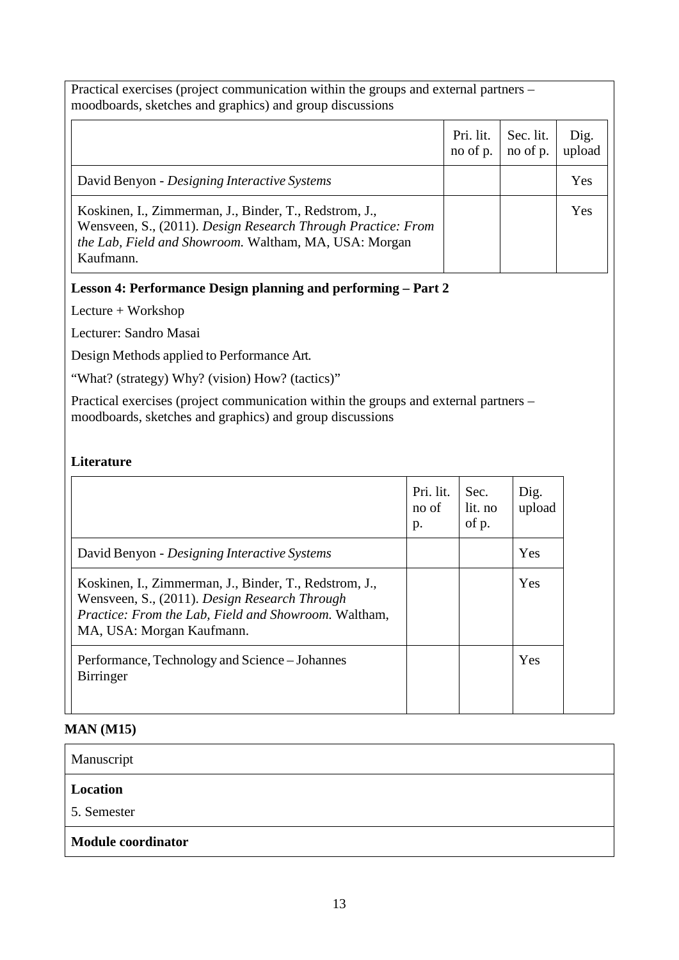| Practical exercises (project communication within the groups and external partners –<br>moodboards, sketches and graphics) and group discussions                                             |                         |                       |                |
|----------------------------------------------------------------------------------------------------------------------------------------------------------------------------------------------|-------------------------|-----------------------|----------------|
|                                                                                                                                                                                              | Pri. lit.<br>no of $p.$ | Sec. lit.<br>no of p. | Dig.<br>upload |
| David Benyon - Designing Interactive Systems                                                                                                                                                 |                         |                       | Yes            |
| Koskinen, I., Zimmerman, J., Binder, T., Redstrom, J.,<br>Wensveen, S., (2011). Design Research Through Practice: From<br>the Lab, Field and Showroom. Waltham, MA, USA: Morgan<br>Kaufmann. |                         |                       | Yes            |

**Lesson 4: Performance Design planning and performing – Part 2**

Lecture + Workshop

Lecturer: Sandro Masai

Design Methods applied to Performance Art.

"What? (strategy) Why? (vision) How? (tactics)"

Practical exercises (project communication within the groups and external partners – moodboards, sketches and graphics) and group discussions

## **Literature**

|                                                                                                                                                                                              | Pri. lit.<br>no of<br>p. | Sec.<br>lit. no<br>of p. | Dig.<br>upload |
|----------------------------------------------------------------------------------------------------------------------------------------------------------------------------------------------|--------------------------|--------------------------|----------------|
| David Benyon - Designing Interactive Systems                                                                                                                                                 |                          |                          | Yes            |
| Koskinen, I., Zimmerman, J., Binder, T., Redstrom, J.,<br>Wensveen, S., (2011). Design Research Through<br>Practice: From the Lab, Field and Showroom. Waltham,<br>MA, USA: Morgan Kaufmann. |                          |                          | Yes            |
| Performance, Technology and Science – Johannes<br><b>Birringer</b>                                                                                                                           |                          |                          | Yes            |

## **MAN (M15)**

| Manuscript                |
|---------------------------|
| <b>Location</b>           |
| 5. Semester               |
| <b>Module coordinator</b> |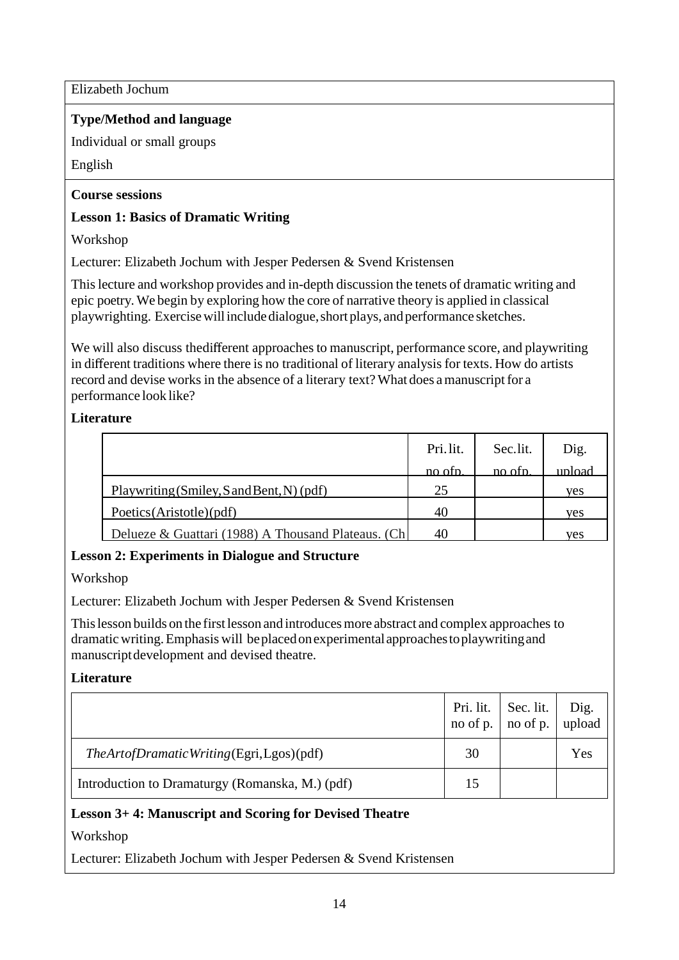Elizabeth Jochum

## **Type/Method and language**

Individual or small groups

English

## **Course sessions**

## **Lesson 1: Basics of Dramatic Writing**

Workshop

Lecturer: Elizabeth Jochum with Jesper Pedersen & Svend Kristensen

Thislecture and workshop provides and in-depth discussion the tenets of dramatic writing and epic poetry. We begin by exploring how the core of narrative theory is applied in classical playwrighting. Exercisewillincludedialogue,shortplays, andperformance sketches.

We will also discuss the different approaches to manuscript, performance score, and playwriting in different traditions where there is no traditional of literary analysis for texts. How do artists record and devise works in the absence of a literary text? What does a manuscript for a performance look like?

## **Literature**

|                                                     | Pri.lit. | Sec.lit. | Dig.   |
|-----------------------------------------------------|----------|----------|--------|
|                                                     | no ofn   | no otn   | upload |
| Playwriting (Smiley, S and Bent, N) (pdf)           | 25       |          | ves    |
| Poetics (Aristotle) (pdf)                           | 40       |          | ves    |
| Delueze & Guattari (1988) A Thousand Plateaus. (Ch) | 40       |          | ves    |

# **Lesson 2: Experiments in Dialogue and Structure**

Workshop

Lecturer: Elizabeth Jochum with Jesper Pedersen & Svend Kristensen

Thislesson builds on the first lesson and introducesmore abstract and complex approaches to dramatic writing.Emphasis will beplacedonexperimentalapproachestoplaywritingand manuscriptdevelopment and devised theatre.

## **Literature**

|                                                 |    | Pri. lit.   Sec. lit. $\vert$<br>no of p. $\vert$ no of p. | Dig.<br>upload |
|-------------------------------------------------|----|------------------------------------------------------------|----------------|
| The Artof Dramatic Writing (Egri, Lgos) (pdf)   | 30 |                                                            | Yes            |
| Introduction to Dramaturgy (Romanska, M.) (pdf) | 15 |                                                            |                |

## **Lesson 3+ 4: Manuscript and Scoring for Devised Theatre**

Workshop

Lecturer: Elizabeth Jochum with Jesper Pedersen & Svend Kristensen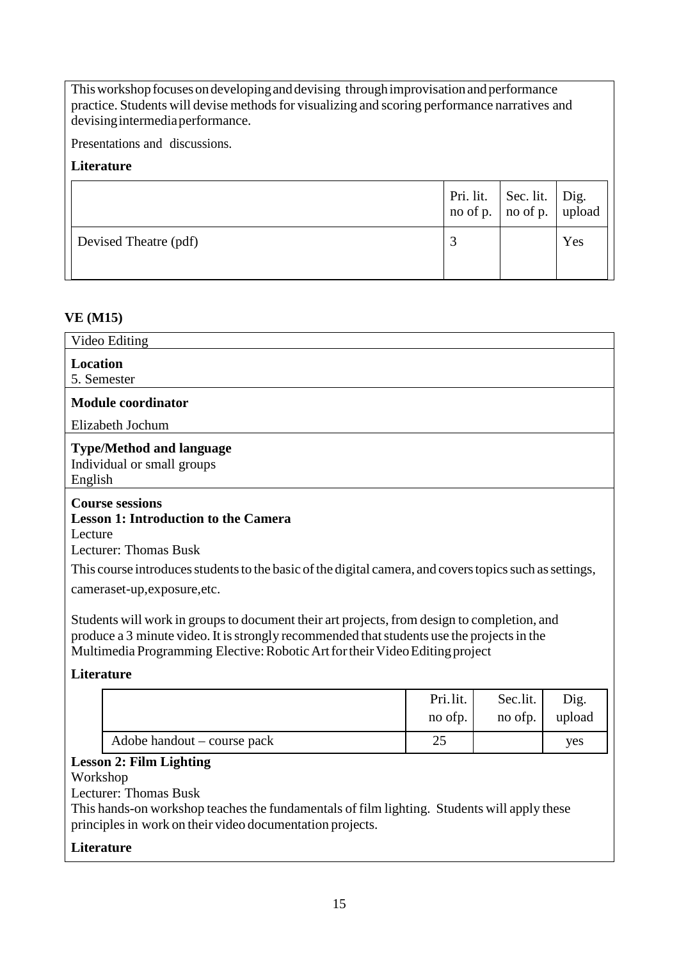This workshop focuses on developing and devising through improvisation and performance practice. Students will devise methods for visualizing and scoring performance narratives and devising intermedia performance.

Presentations and discussions.

## **Literature**

|                       | Pri. lit. Sec. lit. $\begin{array}{ c c } \hline \text{Pri.} & \text{if.} \\ \hline \text{no of p.} & \text{no of p.} \end{array}$ |     |
|-----------------------|------------------------------------------------------------------------------------------------------------------------------------|-----|
| Devised Theatre (pdf) |                                                                                                                                    | Yes |

## **VE (M15)**

| Video Editing                                                                                                                                                                                                                                                             |                     |                     |                |  |
|---------------------------------------------------------------------------------------------------------------------------------------------------------------------------------------------------------------------------------------------------------------------------|---------------------|---------------------|----------------|--|
| <b>Location</b><br>5. Semester                                                                                                                                                                                                                                            |                     |                     |                |  |
| <b>Module coordinator</b>                                                                                                                                                                                                                                                 |                     |                     |                |  |
| Elizabeth Jochum                                                                                                                                                                                                                                                          |                     |                     |                |  |
| <b>Type/Method and language</b><br>Individual or small groups<br>English                                                                                                                                                                                                  |                     |                     |                |  |
| <b>Course sessions</b><br><b>Lesson 1: Introduction to the Camera</b><br>Lecture<br>Lecturer: Thomas Busk                                                                                                                                                                 |                     |                     |                |  |
| This course introduces students to the basic of the digital camera, and covers topics such as settings,<br>cameraset-up, exposure, etc.                                                                                                                                   |                     |                     |                |  |
| Students will work in groups to document their art projects, from design to completion, and<br>produce a 3 minute video. It is strongly recommended that students use the projects in the<br>Multimedia Programming Elective: Robotic Art for their Video Editing project |                     |                     |                |  |
| <b>Literature</b>                                                                                                                                                                                                                                                         |                     |                     |                |  |
|                                                                                                                                                                                                                                                                           | Pri.lit.<br>no ofp. | Sec.lit.<br>no ofp. | Dig.<br>upload |  |
| Adobe handout – course pack                                                                                                                                                                                                                                               | 25                  |                     | yes            |  |

## **Lesson 2: Film Lighting**

## Workshop

Lecturer: Thomas Busk

This hands-on workshop teaches the fundamentals of film lighting. Students will apply these principlesin work on their video documentation projects.

#### **Literature**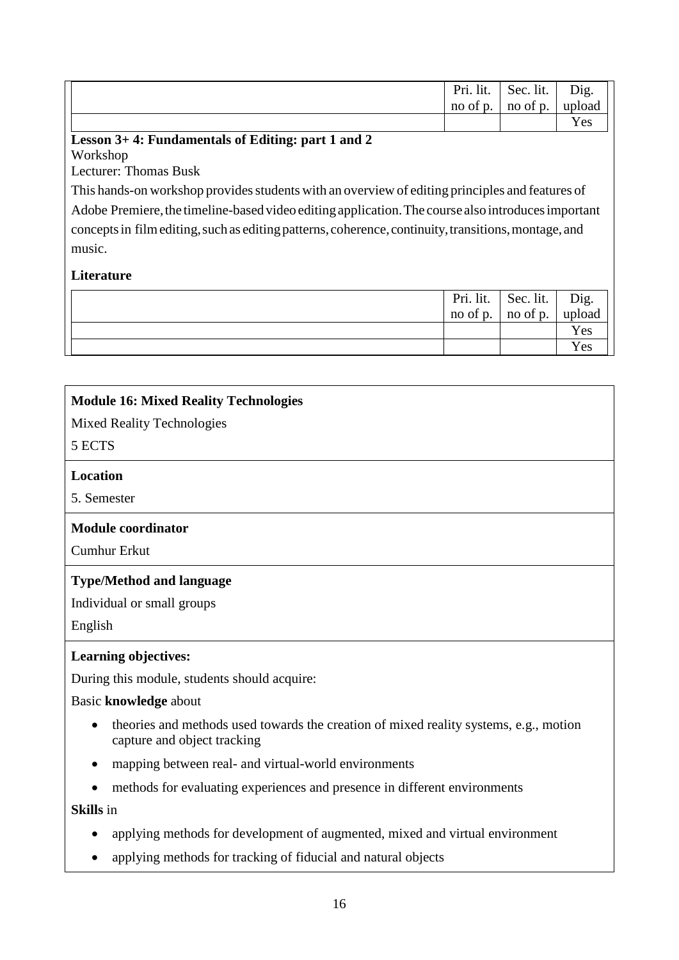|                                                                                                      | Pri. lit.<br>no of p. | Sec. lit.<br>no of p. | Dig.<br>upload<br>Yes |
|------------------------------------------------------------------------------------------------------|-----------------------|-----------------------|-----------------------|
| Lesson 3+4: Fundamentals of Editing: part 1 and 2                                                    |                       |                       |                       |
| Workshop                                                                                             |                       |                       |                       |
| Lecturer: Thomas Busk                                                                                |                       |                       |                       |
| This hands-on workshop provides students with an overview of editing principles and features of      |                       |                       |                       |
| Adobe Premiere, the timeline-based video editing application. The course also introduces important   |                       |                       |                       |
| concepts in film editing, such as editing patterns, coherence, continuity, transitions, montage, and |                       |                       |                       |
| music.                                                                                               |                       |                       |                       |
|                                                                                                      |                       |                       |                       |
| <b>Literature</b>                                                                                    |                       |                       |                       |
|                                                                                                      | Pri. lit.             | Sec. lit.             | Dig.                  |
|                                                                                                      | no of p.              | no of p.              | upload                |
|                                                                                                      |                       |                       | Yes                   |
|                                                                                                      |                       |                       | Yes                   |

| <b>Module 16: Mixed Reality Technologies</b>                                                                                      |
|-----------------------------------------------------------------------------------------------------------------------------------|
| <b>Mixed Reality Technologies</b>                                                                                                 |
| 5 ECTS                                                                                                                            |
| <b>Location</b>                                                                                                                   |
| 5. Semester                                                                                                                       |
| <b>Module coordinator</b>                                                                                                         |
| <b>Cumhur Erkut</b>                                                                                                               |
| <b>Type/Method and language</b>                                                                                                   |
| Individual or small groups                                                                                                        |
| English                                                                                                                           |
| <b>Learning objectives:</b>                                                                                                       |
| During this module, students should acquire:                                                                                      |
| Basic knowledge about                                                                                                             |
| theories and methods used towards the creation of mixed reality systems, e.g., motion<br>$\bullet$<br>capture and object tracking |
| mapping between real- and virtual-world environments<br>٠                                                                         |
| methods for evaluating experiences and presence in different environments                                                         |
| <b>Skills</b> in                                                                                                                  |
| applying methods for development of augmented, mixed and virtual environment                                                      |

- 
- applying methods for tracking of fiducial and natural objects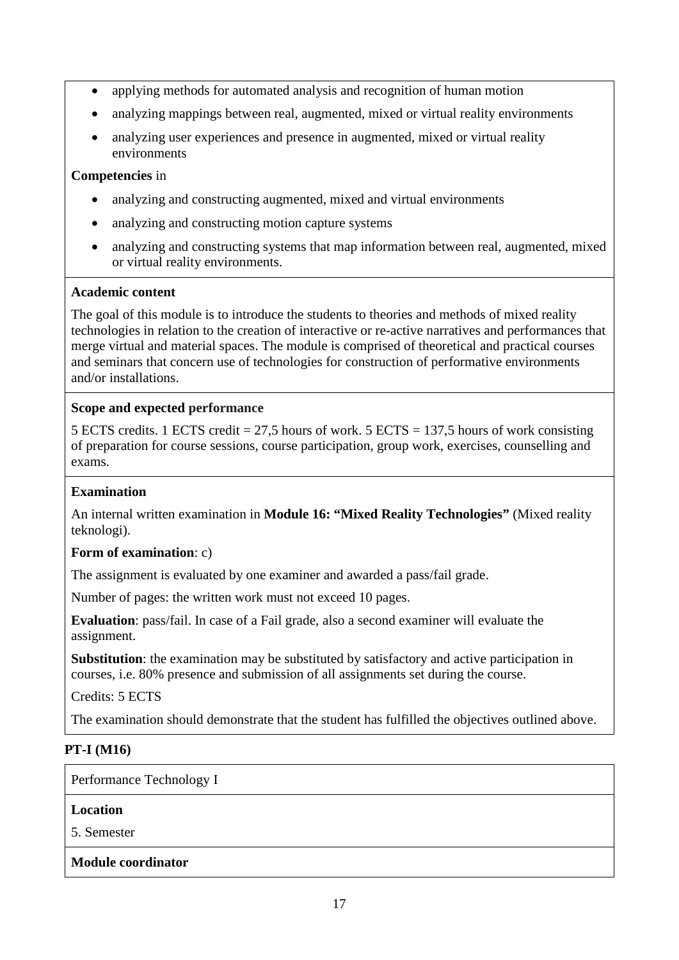- applying methods for automated analysis and recognition of human motion
- analyzing mappings between real, augmented, mixed or virtual reality environments
- analyzing user experiences and presence in augmented, mixed or virtual reality environments

#### **Competencies** in

- analyzing and constructing augmented, mixed and virtual environments
- analyzing and constructing motion capture systems
- analyzing and constructing systems that map information between real, augmented, mixed or virtual reality environments.

#### **Academic content**

The goal of this module is to introduce the students to theories and methods of mixed reality technologies in relation to the creation of interactive or re-active narratives and performances that merge virtual and material spaces. The module is comprised of theoretical and practical courses and seminars that concern use of technologies for construction of performative environments and/or installations.

## **Scope and expected performance**

5 ECTS credits. 1 ECTS credit = 27,5 hours of work. 5 ECTS = 137,5 hours of work consisting of preparation for course sessions, course participation, group work, exercises, counselling and exams.

#### **Examination**

An internal written examination in **Module 16: "Mixed Reality Technologies"** (Mixed reality teknologi).

#### **Form of examination**: c)

The assignment is evaluated by one examiner and awarded a pass/fail grade.

Number of pages: the written work must not exceed 10 pages.

**Evaluation**: pass/fail. In case of a Fail grade, also a second examiner will evaluate the assignment.

**Substitution**: the examination may be substituted by satisfactory and active participation in courses, i.e. 80% presence and submission of all assignments set during the course.

Credits: 5 ECTS

The examination should demonstrate that the student has fulfilled the objectives outlined above.

## **PT-I (M16)**

Performance Technology I

#### **Location**

5. Semester

#### **Module coordinator**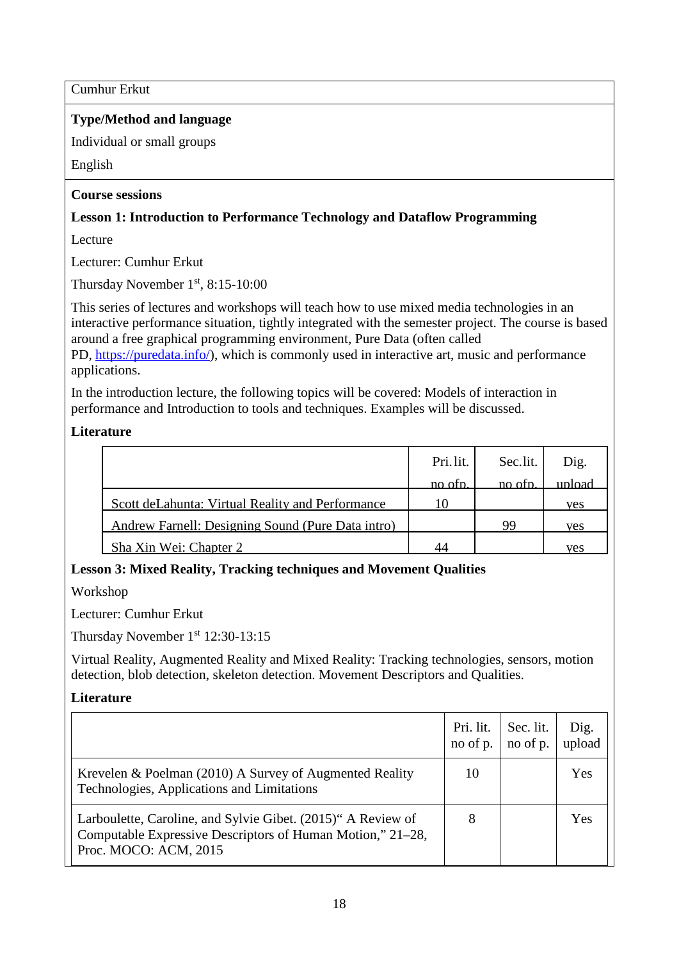Cumhur Erkut

## **Type/Method and language**

Individual or small groups

English

## **Course sessions**

## **Lesson 1: Introduction to Performance Technology and Dataflow Programming**

Lecture

Lecturer: Cumhur Erkut

Thursday November 1st, 8:15-10:00

This series of lectures and workshops will teach how to use mixed media technologies in an interactive performance situation, tightly integrated with the semester project. The course is based around a free graphical programming environment, Pure Data (often called PD, [https://puredata.info/\)](http://puredata.info/), which is commonly used in interactive art, music and performance applications.

In the introduction lecture, the following topics will be covered: Models of interaction in performance and Introduction to tools and techniques. Examples will be discussed.

## **Literature**

|                                                   | Pri.lit. | Sec.lit. | Dig.   |
|---------------------------------------------------|----------|----------|--------|
|                                                   | no ofp.  | no otn   | upload |
| Scott de Lahunta: Virtual Reality and Performance | 10       |          | ves    |
| Andrew Farnell: Designing Sound (Pure Data intro) |          | 99       | ves    |
| Sha Xin Wei: Chapter 2                            | 44       |          | ves    |

## **Lesson 3: Mixed Reality, Tracking techniques and Movement Qualities**

Workshop

Lecturer: Cumhur Erkut

Thursday November 1<sup>st</sup> 12:30-13:15

Virtual Reality, Augmented Reality and Mixed Reality: Tracking technologies, sensors, motion detection, blob detection, skeleton detection. Movement Descriptors and Qualities.

## **Literature**

|                                                                                                                                                     | Pri. lit.<br>no of p. | Sec. lit.<br>no of p. | Dig.<br>upload |
|-----------------------------------------------------------------------------------------------------------------------------------------------------|-----------------------|-----------------------|----------------|
| Krevelen & Poelman (2010) A Survey of Augmented Reality<br>Technologies, Applications and Limitations                                               | 10                    |                       | Yes            |
| Larboulette, Caroline, and Sylvie Gibet. (2015)" A Review of<br>Computable Expressive Descriptors of Human Motion," 21–28,<br>Proc. MOCO: ACM, 2015 | 8                     |                       | Yes            |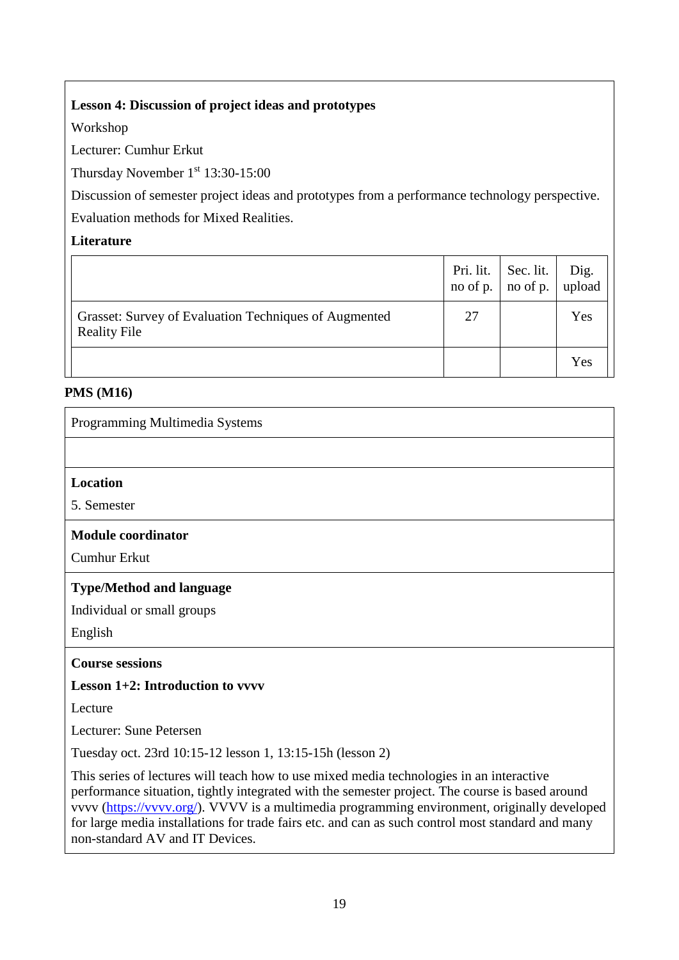## **Lesson 4: Discussion of project ideas and prototypes**

Workshop

Lecturer: Cumhur Erkut

Thursday November 1st 13:30-15:00

Discussion of semester project ideas and prototypes from a performance technology perspective. Evaluation methods for Mixed Realities.

## **Literature**

|                                                                              | Pri. lit. | Sec. lit.<br>no of p. $\vert$ no of p. | Dig.<br>upload |
|------------------------------------------------------------------------------|-----------|----------------------------------------|----------------|
| Grasset: Survey of Evaluation Techniques of Augmented<br><b>Reality File</b> | 27        |                                        | Yes            |
|                                                                              |           |                                        | Yes            |

## **PMS (M16)**

| Programming Multimedia Systems                                                                                                                                                                                                                                                                                                                                                                   |
|--------------------------------------------------------------------------------------------------------------------------------------------------------------------------------------------------------------------------------------------------------------------------------------------------------------------------------------------------------------------------------------------------|
|                                                                                                                                                                                                                                                                                                                                                                                                  |
| <b>Location</b>                                                                                                                                                                                                                                                                                                                                                                                  |
| 5. Semester                                                                                                                                                                                                                                                                                                                                                                                      |
| <b>Module coordinator</b>                                                                                                                                                                                                                                                                                                                                                                        |
| <b>Cumhur Erkut</b>                                                                                                                                                                                                                                                                                                                                                                              |
| <b>Type/Method and language</b>                                                                                                                                                                                                                                                                                                                                                                  |
| Individual or small groups                                                                                                                                                                                                                                                                                                                                                                       |
| English                                                                                                                                                                                                                                                                                                                                                                                          |
| <b>Course sessions</b>                                                                                                                                                                                                                                                                                                                                                                           |
| <b>Lesson 1+2: Introduction to vyvv</b>                                                                                                                                                                                                                                                                                                                                                          |
| Lecture                                                                                                                                                                                                                                                                                                                                                                                          |
| Lecturer: Sune Petersen                                                                                                                                                                                                                                                                                                                                                                          |
| Tuesday oct. 23rd 10:15-12 lesson 1, 13:15-15h (lesson 2)                                                                                                                                                                                                                                                                                                                                        |
| This series of lectures will teach how to use mixed media technologies in an interactive<br>performance situation, tightly integrated with the semester project. The course is based around<br>vvvv (https://vvvv.org/). VVVV is a multimedia programming environment, originally developed<br>for large media installations for trade fairs etc. and can as such control most standard and many |

non-standard AV and IT Devices.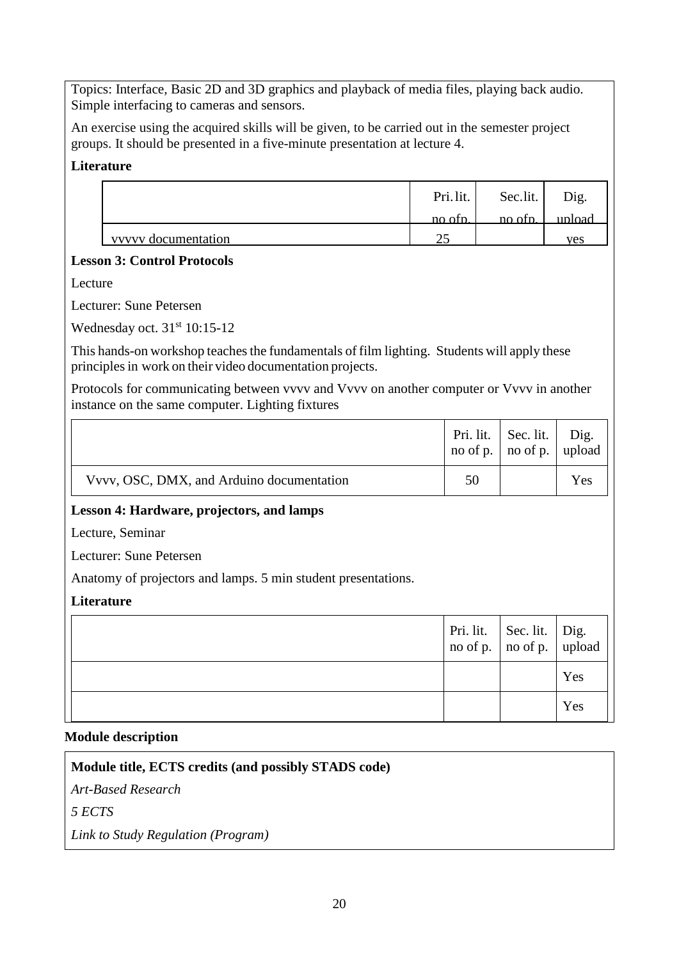Topics: Interface, Basic 2D and 3D graphics and playback of media files, playing back audio. Simple interfacing to cameras and sensors.

An exercise using the acquired skills will be given, to be carried out in the semester project groups. It should be presented in a five-minute presentation at lecture 4.

## **Literature**

|                     | Pri.lit. | Sec.lit.                              | Dig.   |
|---------------------|----------|---------------------------------------|--------|
|                     | no ofn.  | $\overline{p}$ no of $\overline{p}$ . | unload |
| vyvvy documentation | ~∼       |                                       | ves    |

#### **Lesson 3: Control Protocols**

Lecture

Lecturer: Sune Petersen

Wednesday oct. 31<sup>st</sup> 10:15-12

This hands-on workshop teaches the fundamentals of film lighting. Students will apply these principles in work on their video documentation projects.

Protocols for communicating between vvvv and Vvvv on another computer or Vvvv in another instance on the same computer. Lighting fixtures

|                                                               | Pri. lit.<br>no of p. | Sec. lit.<br>no of p. | Dig.<br>upload |
|---------------------------------------------------------------|-----------------------|-----------------------|----------------|
| Vvvv, OSC, DMX, and Arduino documentation                     | 50                    |                       | Yes            |
| Lesson 4: Hardware, projectors, and lamps                     |                       |                       |                |
| Lecture, Seminar                                              |                       |                       |                |
| Lecturer: Sune Petersen                                       |                       |                       |                |
| Anatomy of projectors and lamps. 5 min student presentations. |                       |                       |                |
| Literature                                                    |                       |                       |                |
|                                                               | Pri. lit.<br>no of p. | Sec. lit.<br>no of p. | Dig.<br>upload |
|                                                               |                       |                       | Yes            |
|                                                               |                       |                       | Yes            |

#### **Module description**

**Module title, ECTS credits (and possibly STADS code)**

*Art-Based Research*

*5 ECTS*

*Link to Study Regulation (Program)*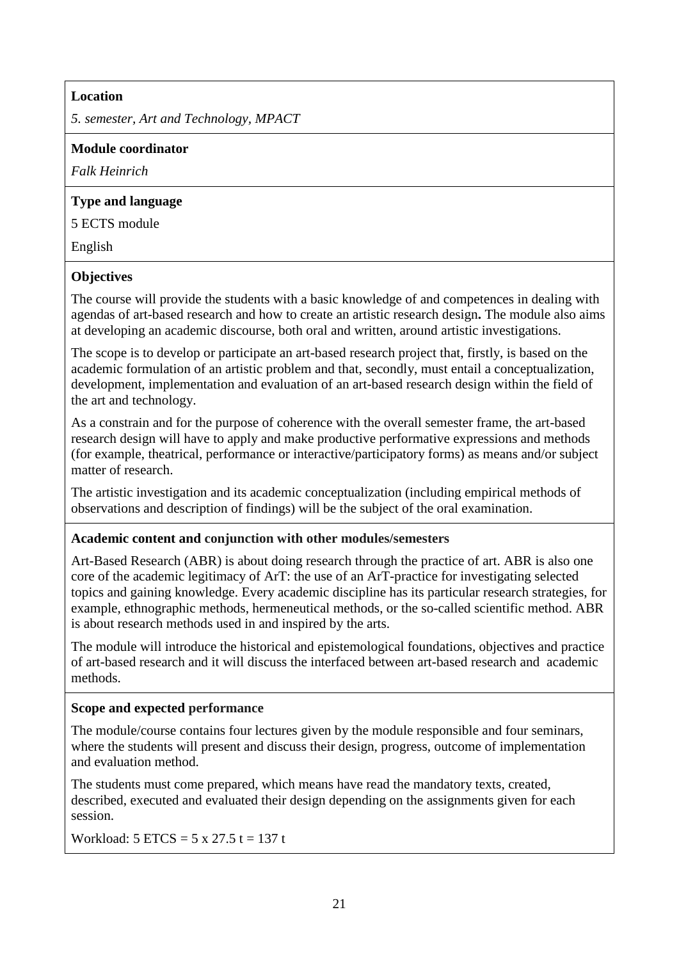#### **Location**

*5. semester, Art and Technology, MPACT*

#### **Module coordinator**

*Falk Heinrich*

## **Type and language**

5 ECTS module

English

## **Objectives**

The course will provide the students with a basic knowledge of and competences in dealing with agendas of art-based research and how to create an artistic research design**.** The module also aims at developing an academic discourse, both oral and written, around artistic investigations.

The scope is to develop or participate an art-based research project that, firstly, is based on the academic formulation of an artistic problem and that, secondly, must entail a conceptualization, development, implementation and evaluation of an art-based research design within the field of the art and technology.

As a constrain and for the purpose of coherence with the overall semester frame, the art-based research design will have to apply and make productive performative expressions and methods (for example, theatrical, performance or interactive/participatory forms) as means and/or subject matter of research.

The artistic investigation and its academic conceptualization (including empirical methods of observations and description of findings) will be the subject of the oral examination.

#### **Academic content and conjunction with other modules/semesters**

Art-Based Research (ABR) is about doing research through the practice of art. ABR is also one core of the academic legitimacy of ArT: the use of an ArT-practice for investigating selected topics and gaining knowledge. Every academic discipline has its particular research strategies, for example, ethnographic methods, hermeneutical methods, or the so-called scientific method. ABR is about research methods used in and inspired by the arts.

The module will introduce the historical and epistemological foundations, objectives and practice of art-based research and it will discuss the interfaced between art-based research and academic methods.

## **Scope and expected performance**

The module/course contains four lectures given by the module responsible and four seminars, where the students will present and discuss their design, progress, outcome of implementation and evaluation method.

The students must come prepared, which means have read the mandatory texts, created, described, executed and evaluated their design depending on the assignments given for each session.

Workload:  $5 \text{ ETCS} = 5 \times 27.5 \text{ t} = 137 \text{ t}$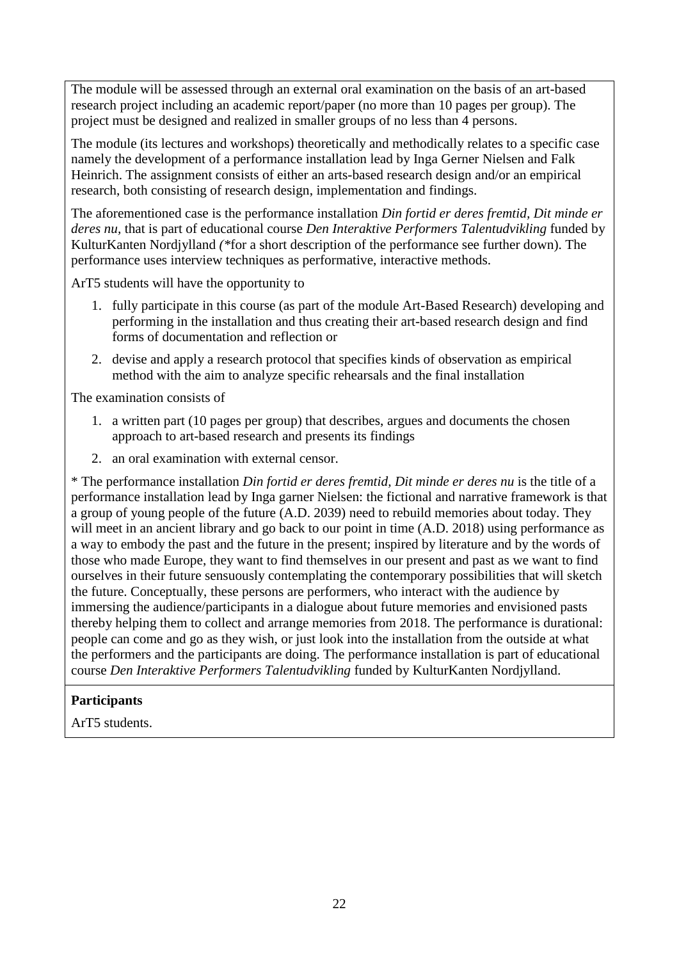The module will be assessed through an external oral examination on the basis of an art-based research project including an academic report/paper (no more than 10 pages per group). The project must be designed and realized in smaller groups of no less than 4 persons.

The module (its lectures and workshops) theoretically and methodically relates to a specific case namely the development of a performance installation lead by Inga Gerner Nielsen and Falk Heinrich. The assignment consists of either an arts-based research design and/or an empirical research, both consisting of research design, implementation and findings.

The aforementioned case is the performance installation *Din fortid er deres fremtid, Dit minde er deres nu,* that is part of educational course *Den Interaktive Performers Talentudvikling* funded by KulturKanten Nordjylland *(\**for a short description of the performance see further down). The performance uses interview techniques as performative, interactive methods.

ArT5 students will have the opportunity to

- 1. fully participate in this course (as part of the module Art-Based Research) developing and performing in the installation and thus creating their art-based research design and find forms of documentation and reflection or
- 2. devise and apply a research protocol that specifies kinds of observation as empirical method with the aim to analyze specific rehearsals and the final installation

The examination consists of

- 1. a written part (10 pages per group) that describes, argues and documents the chosen approach to art-based research and presents its findings
- 2. an oral examination with external censor.

\* The performance installation *Din fortid er deres fremtid, Dit minde er deres nu* is the title of a performance installation lead by Inga garner Nielsen: the fictional and narrative framework is that a group of young people of the future (A.D. 2039) need to rebuild memories about today. They will meet in an ancient library and go back to our point in time  $(A.D. 2018)$  using performance as a way to embody the past and the future in the present; inspired by literature and by the words of those who made Europe, they want to find themselves in our present and past as we want to find ourselves in their future sensuously contemplating the contemporary possibilities that will sketch the future. Conceptually, these persons are performers, who interact with the audience by immersing the audience/participants in a dialogue about future memories and envisioned pasts thereby helping them to collect and arrange memories from 2018. The performance is durational: people can come and go as they wish, or just look into the installation from the outside at what the performers and the participants are doing. The performance installation is part of educational course *Den Interaktive Performers Talentudvikling* funded by KulturKanten Nordjylland.

## **Participants**

ArT5 students.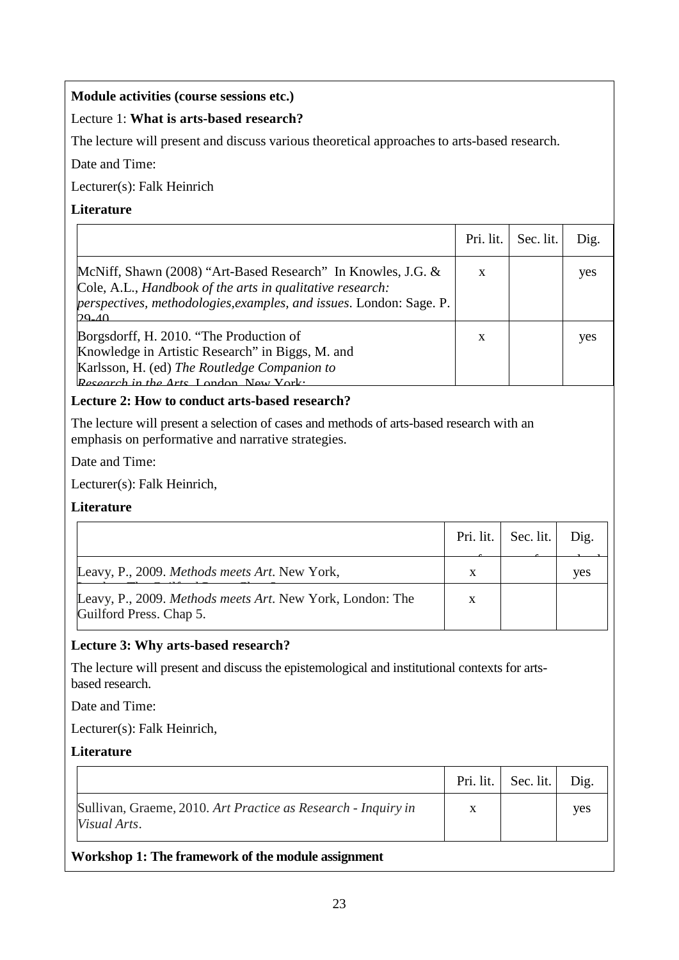## **Module activities (course sessions etc.)**

## Lecture 1: **What is arts-based research?**

The lecture will present and discuss various theoretical approaches to arts-based research.

Date and Time:

Lecturer(s): Falk Heinrich

## **Literature**

|                                                                                                                                                                                                             | Pri. lit. | Sec. lit. | Dig. |
|-------------------------------------------------------------------------------------------------------------------------------------------------------------------------------------------------------------|-----------|-----------|------|
| McNiff, Shawn (2008) "Art-Based Research" In Knowles, J.G. &<br>Cole, A.L., Handbook of the arts in qualitative research:<br>perspectives, methodologies, examples, and issues. London: Sage. P.<br>$29-40$ | X         |           | yes  |
| Borgsdorff, H. 2010. "The Production of<br>Knowledge in Artistic Research" in Biggs, M. and<br>Karlsson, H. (ed) The Routledge Companion to<br>Research in the Arts London New York.                        | X         |           | yes  |

## **Lecture 2: How to conduct arts-based research?**

The lecture will present a selection of cases and methods of arts-based research with an emphasis on performative and narrative strategies.

Date and Time:

Lecturer(s): Falk Heinrich,

#### **Literature**

|                                                                                      |   | Pri. lit.   Sec. lit. $ $ | Dig. |
|--------------------------------------------------------------------------------------|---|---------------------------|------|
| Leavy, P., 2009. Methods meets Art. New York,                                        | X |                           | ves  |
| Leavy, P., 2009. Methods meets Art. New York, London: The<br>Guilford Press. Chap 5. | X |                           |      |

#### **Lecture 3: Why arts-based research?**

The lecture will present and discuss the epistemological and institutional contexts for artsbased research.

Date and Time:

Lecturer(s): Falk Heinrich,

#### **Literature**

|                                                                               |   | Pri. lit.   Sec. lit. | Dig.       |
|-------------------------------------------------------------------------------|---|-----------------------|------------|
| Sullivan, Graeme, 2010. Art Practice as Research - Inquiry in<br>Visual Arts. | X |                       | <b>ves</b> |
| Workshop 1: The framework of the module assignment                            |   |                       |            |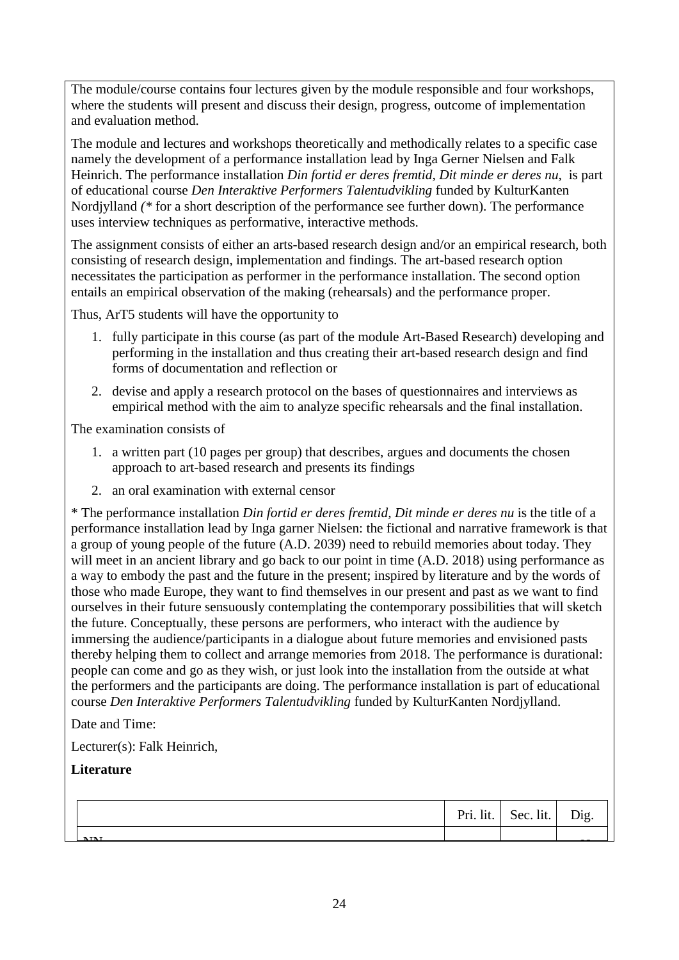The module/course contains four lectures given by the module responsible and four workshops, where the students will present and discuss their design, progress, outcome of implementation and evaluation method.

The module and lectures and workshops theoretically and methodically relates to a specific case namely the development of a performance installation lead by Inga Gerner Nielsen and Falk Heinrich. The performance installation *Din fortid er deres fremtid, Dit minde er deres nu,* is part of educational course *Den Interaktive Performers Talentudvikling* funded by KulturKanten Nordjylland *(\** for a short description of the performance see further down). The performance uses interview techniques as performative, interactive methods.

The assignment consists of either an arts-based research design and/or an empirical research, both consisting of research design, implementation and findings. The art-based research option necessitates the participation as performer in the performance installation. The second option entails an empirical observation of the making (rehearsals) and the performance proper.

Thus, ArT5 students will have the opportunity to

- 1. fully participate in this course (as part of the module Art-Based Research) developing and performing in the installation and thus creating their art-based research design and find forms of documentation and reflection or
- 2. devise and apply a research protocol on the bases of questionnaires and interviews as empirical method with the aim to analyze specific rehearsals and the final installation.

The examination consists of

- 1. a written part (10 pages per group) that describes, argues and documents the chosen approach to art-based research and presents its findings
- 2. an oral examination with external censor

\* The performance installation *Din fortid er deres fremtid, Dit minde er deres nu* is the title of a performance installation lead by Inga garner Nielsen: the fictional and narrative framework is that a group of young people of the future (A.D. 2039) need to rebuild memories about today. They will meet in an ancient library and go back to our point in time  $(A.D. 2018)$  using performance as a way to embody the past and the future in the present; inspired by literature and by the words of those who made Europe, they want to find themselves in our present and past as we want to find ourselves in their future sensuously contemplating the contemporary possibilities that will sketch the future. Conceptually, these persons are performers, who interact with the audience by immersing the audience/participants in a dialogue about future memories and envisioned pasts thereby helping them to collect and arrange memories from 2018. The performance is durational: people can come and go as they wish, or just look into the installation from the outside at what the performers and the participants are doing. The performance installation is part of educational course *Den Interaktive Performers Talentudvikling* funded by KulturKanten Nordjylland.

Date and Time:

Lecturer(s): Falk Heinrich,

## **Literature**

|             | Pri. lit.   Sec. lit.   Dig. |  |
|-------------|------------------------------|--|
| <b>NTNT</b> |                              |  |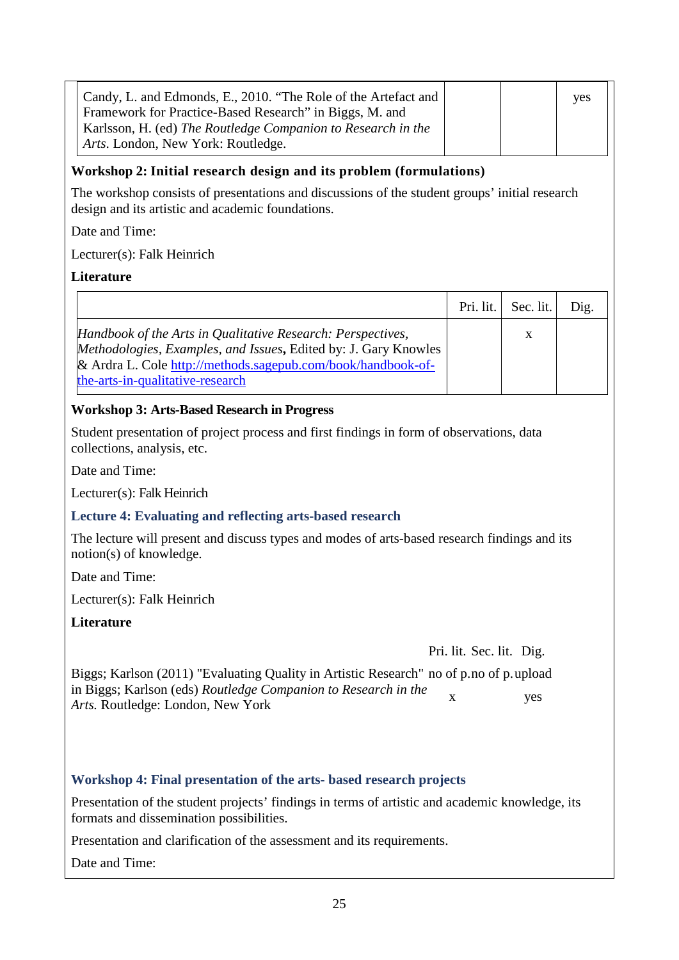| Candy, L. and Edmonds, E., 2010. "The Role of the Artefact and |  | <b>ves</b> |
|----------------------------------------------------------------|--|------------|
| Framework for Practice-Based Research" in Biggs, M. and        |  |            |
| Karlsson, H. (ed) The Routledge Companion to Research in the   |  |            |
| Arts. London, New York: Routledge.                             |  |            |

## **Workshop 2: Initial research design and its problem (formulations)**

The workshop consists of presentations and discussions of the student groups' initial research design and its artistic and academic foundations.

Date and Time:

Lecturer(s): Falk Heinrich

## **Literature**

|                                                                                                                                                                                                                                    | Pri. lit. Sec. lit. | Dig. |
|------------------------------------------------------------------------------------------------------------------------------------------------------------------------------------------------------------------------------------|---------------------|------|
| Handbook of the Arts in Qualitative Research: Perspectives,<br>Methodologies, Examples, and Issues, Edited by: J. Gary Knowles<br>& Ardra L. Cole http://methods.sagepub.com/book/handbook-of-<br>the-arts-in-qualitative-research | X                   |      |

## **Workshop 3: Arts-Based Research in Progress**

Student presentation of project process and first findings in form of observations, data collections, analysis, etc.

Date and Time:

Lecturer(s): Falk Heinrich

#### **Lecture 4: Evaluating and reflecting arts-based research**

The lecture will present and discuss types and modes of arts-based research findings and its notion(s) of knowledge.

Date and Time:

Lecturer(s): Falk Heinrich

**Literature**

Pri. lit. Sec. lit. Dig.

| Biggs; Karlson (2011) "Evaluating Quality in Artistic Research" no of p.no of p.upload                     |            |
|------------------------------------------------------------------------------------------------------------|------------|
| in Biggs; Karlson (eds) Routledge Companion to Research in the<br><i>Arts.</i> Routledge: London, New York | <b>ves</b> |

## **Workshop 4: Final presentation of the arts- based research projects**

Presentation of the student projects' findings in terms of artistic and academic knowledge, its formats and dissemination possibilities.

Presentation and clarification of the assessment and its requirements.

Date and Time: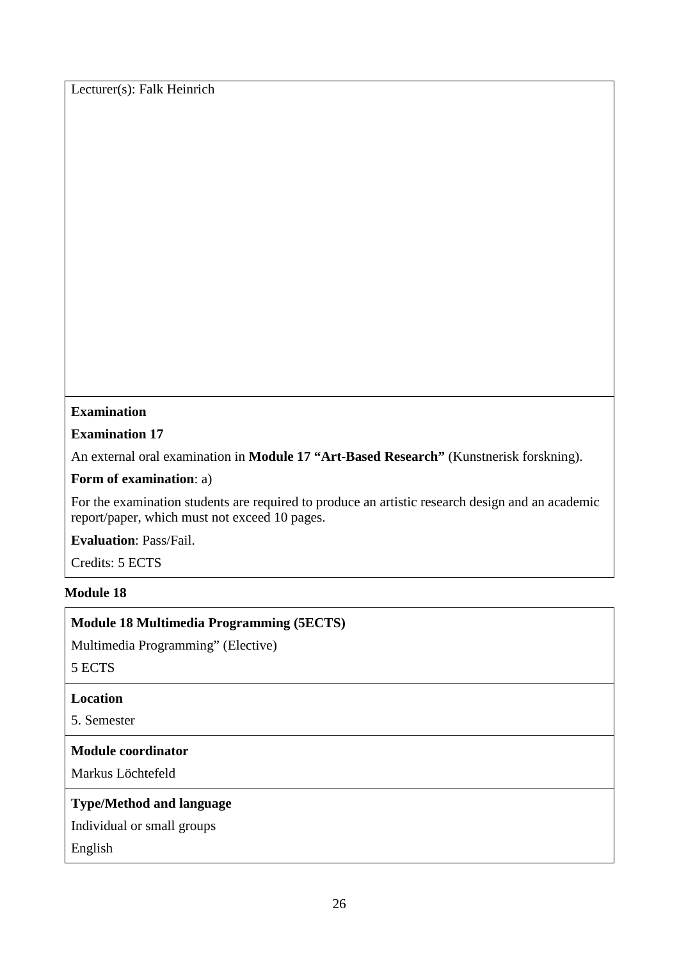Lecturer(s): Falk Heinrich

## **Examination**

## **Examination 17**

An external oral examination in **Module 17 "Art-Based Research"** (Kunstnerisk forskning).

#### **Form of examination**: a)

For the examination students are required to produce an artistic research design and an academic report/paper, which must not exceed 10 pages.

**Evaluation**: Pass/Fail.

Credits: 5 ECTS

#### **Module 18**

## **Module 18 Multimedia Programming (5ECTS)**

Multimedia Programming" (Elective)

5 ECTS

#### **Location**

5. Semester

#### **Module coordinator**

Markus Löchtefeld

#### **Type/Method and language**

Individual or small groups

English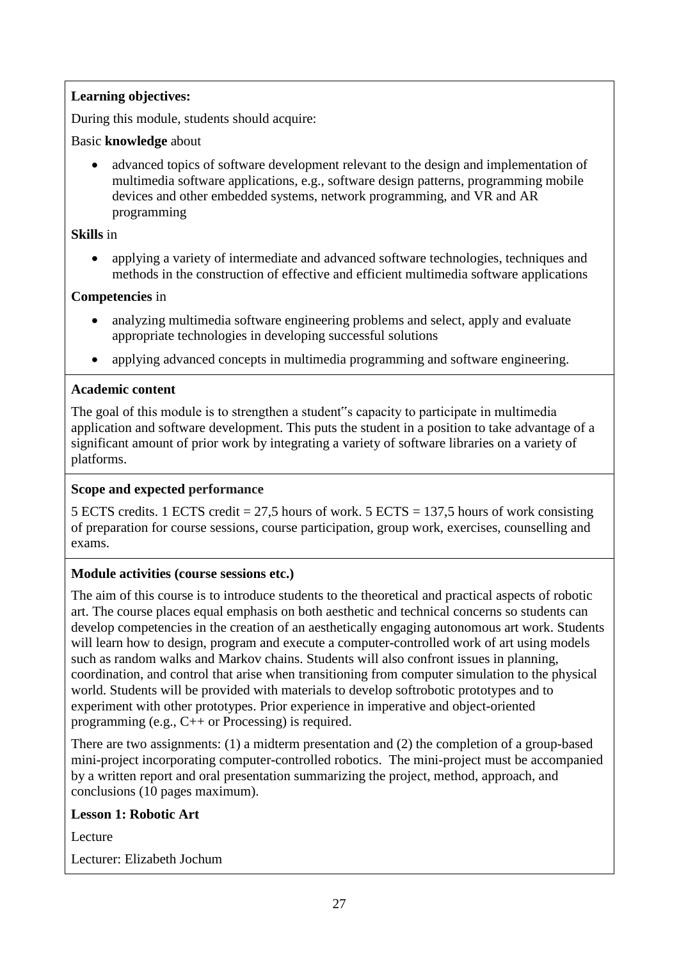## **Learning objectives:**

During this module, students should acquire:

## Basic **knowledge** about

• advanced topics of software development relevant to the design and implementation of multimedia software applications, e.g., software design patterns, programming mobile devices and other embedded systems, network programming, and VR and AR programming

## **Skills** in

• applying a variety of intermediate and advanced software technologies, techniques and methods in the construction of effective and efficient multimedia software applications

## **Competencies** in

- analyzing multimedia software engineering problems and select, apply and evaluate appropriate technologies in developing successful solutions
- applying advanced concepts in multimedia programming and software engineering.

## **Academic content**

The goal of this module is to strengthen a student"s capacity to participate in multimedia application and software development. This puts the student in a position to take advantage of a significant amount of prior work by integrating a variety of software libraries on a variety of platforms.

#### **Scope and expected performance**

5 ECTS credits. 1 ECTS credit = 27,5 hours of work. 5 ECTS = 137,5 hours of work consisting of preparation for course sessions, course participation, group work, exercises, counselling and exams.

## **Module activities (course sessions etc.)**

The aim of this course is to introduce students to the theoretical and practical aspects of robotic art. The course places equal emphasis on both aesthetic and technical concerns so students can develop competencies in the creation of an aesthetically engaging autonomous art work. Students will learn how to design, program and execute a computer-controlled work of art using models such as random walks and Markov chains. Students will also confront issues in planning, coordination, and control that arise when transitioning from computer simulation to the physical world. Students will be provided with materials to develop softrobotic prototypes and to experiment with other prototypes. Prior experience in imperative and object-oriented programming (e.g., C++ or Processing) is required.

There are two assignments: (1) a midterm presentation and (2) the completion of a group-based mini-project incorporating computer-controlled robotics. The mini-project must be accompanied by a written report and oral presentation summarizing the project, method, approach, and conclusions (10 pages maximum).

#### **Lesson 1: Robotic Art**

**Lecture** 

Lecturer: Elizabeth Jochum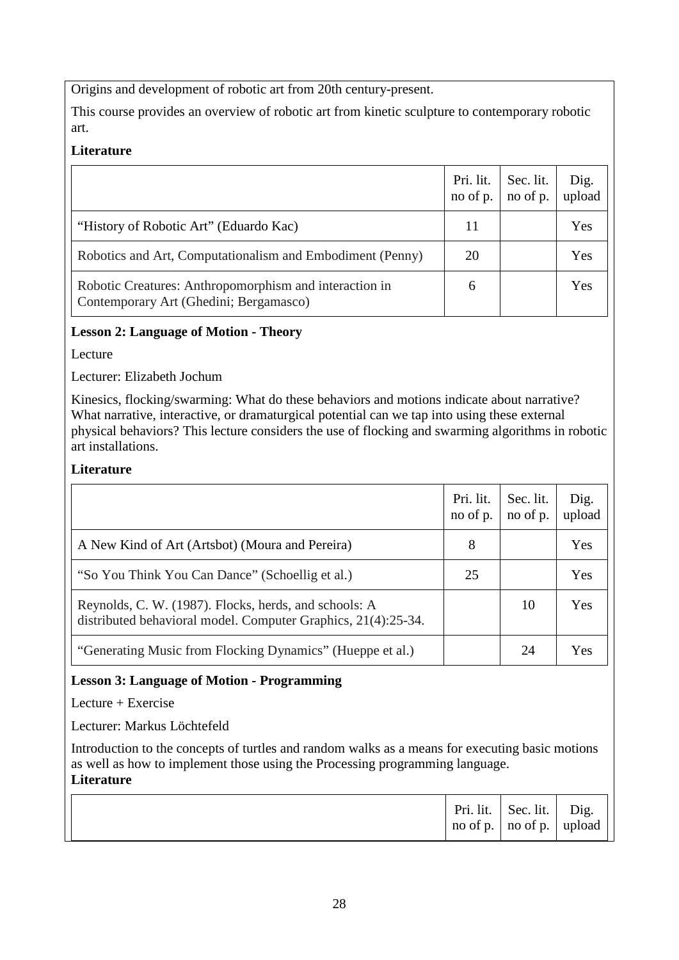Origins and development of robotic art from 20th century-present.

This course provides an overview of robotic art from kinetic sculpture to contemporary robotic art.

## **Literature**

|                                                                                                  | Pri. lit.<br>no of p. | Sec. lit.<br>no of p. | Dig.<br>upload |
|--------------------------------------------------------------------------------------------------|-----------------------|-----------------------|----------------|
| "History of Robotic Art" (Eduardo Kac)                                                           | 11                    |                       | Yes            |
| Robotics and Art, Computationalism and Embodiment (Penny)                                        | 20                    |                       | Yes            |
| Robotic Creatures: Anthropomorphism and interaction in<br>Contemporary Art (Ghedini; Bergamasco) | 6                     |                       | Yes            |

## **Lesson 2: Language of Motion - Theory**

Lecture

Lecturer: Elizabeth Jochum

Kinesics, flocking/swarming: What do these behaviors and motions indicate about narrative? What narrative, interactive, or dramaturgical potential can we tap into using these external physical behaviors? This lecture considers the use of flocking and swarming algorithms in robotic art installations.

## **Literature**

|                                                                                                                        | Pri. lit.<br>no of p. | Sec. lit.<br>no of p. | Dig.<br>upload |
|------------------------------------------------------------------------------------------------------------------------|-----------------------|-----------------------|----------------|
| A New Kind of Art (Artsbot) (Moura and Pereira)                                                                        | 8                     |                       | Yes            |
| "So You Think You Can Dance" (Schoellig et al.)                                                                        | 25                    |                       | Yes            |
| Reynolds, C. W. (1987). Flocks, herds, and schools: A<br>distributed behavioral model. Computer Graphics, 21(4):25-34. |                       | 10                    | Yes            |
| "Generating Music from Flocking Dynamics" (Hueppe et al.)                                                              |                       | 24                    | Yes            |

## **Lesson 3: Language of Motion - Programming**

Lecture + Exercise

Lecturer: Markus Löchtefeld

Introduction to the concepts of turtles and random walks as a means for executing basic motions as well as how to implement those using the Processing programming language. **Literature**

|  |  | Pri. lit.   Sec. lit.   Dig.<br>$\vert$ no of p. $\vert$ no of p. $\vert$ upload |  |  |
|--|--|----------------------------------------------------------------------------------|--|--|
|--|--|----------------------------------------------------------------------------------|--|--|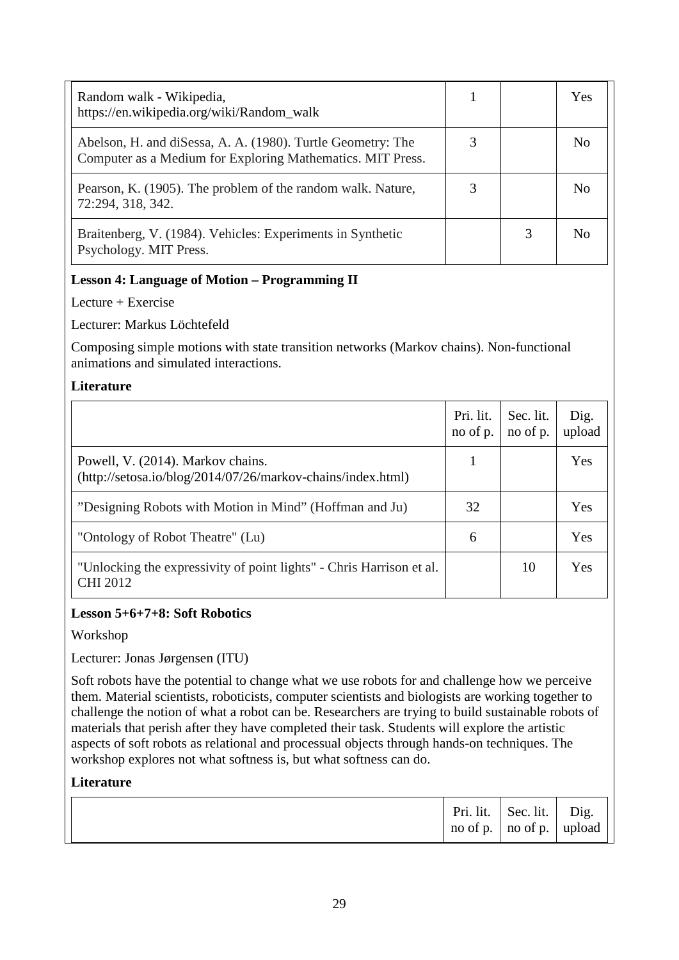| Random walk - Wikipedia,<br>https://en.wikipedia.org/wiki/Random_walk                                                     |   | Yes            |
|---------------------------------------------------------------------------------------------------------------------------|---|----------------|
| Abelson, H. and diSessa, A. A. (1980). Turtle Geometry: The<br>Computer as a Medium for Exploring Mathematics. MIT Press. |   | N <sub>0</sub> |
| Pearson, K. (1905). The problem of the random walk. Nature,<br>72:294, 318, 342.                                          |   | No             |
| Braitenberg, V. (1984). Vehicles: Experiments in Synthetic<br>Psychology. MIT Press.                                      | 3 | No             |

## **Lesson 4: Language of Motion – Programming II**

Lecture + Exercise

Lecturer: Markus Löchtefeld

Composing simple motions with state transition networks (Markov chains). Non-functional animations and simulated interactions.

#### **Literature**

|                                                                                                    | Pri. lit.<br>no of p. | Sec. lit.<br>no of p. | Dig.<br>upload |
|----------------------------------------------------------------------------------------------------|-----------------------|-----------------------|----------------|
| Powell, V. (2014). Markov chains.<br>$(http://setosa.io/blog/2014/07/26/markov-chains/index.html)$ |                       |                       | Yes            |
| "Designing Robots with Motion in Mind" (Hoffman and Ju)                                            | 32                    |                       | Yes            |
| "Ontology of Robot Theatre" (Lu)                                                                   | 6                     |                       | Yes            |
| "Unlocking the expressivity of point lights" - Chris Harrison et al.<br><b>CHI 2012</b>            |                       | 10                    | Yes            |

## **Lesson 5+6+7+8: Soft Robotics**

Workshop

Lecturer: Jonas Jørgensen (ITU)

Soft robots have the potential to change what we use robots for and challenge how we perceive them. Material scientists, roboticists, computer scientists and biologists are working together to challenge the notion of what a robot can be. Researchers are trying to build sustainable robots of materials that perish after they have completed their task. Students will explore the artistic aspects of soft robots as relational and processual objects through hands-on techniques. The workshop explores not what softness is, but what softness can do.

## **Literature**

|  |  | Pri. lit.   Sec. lit.   Dig.<br>$\vert$ no of p. $\vert$ no of p. $\vert$ upload |  |  |
|--|--|----------------------------------------------------------------------------------|--|--|
|--|--|----------------------------------------------------------------------------------|--|--|